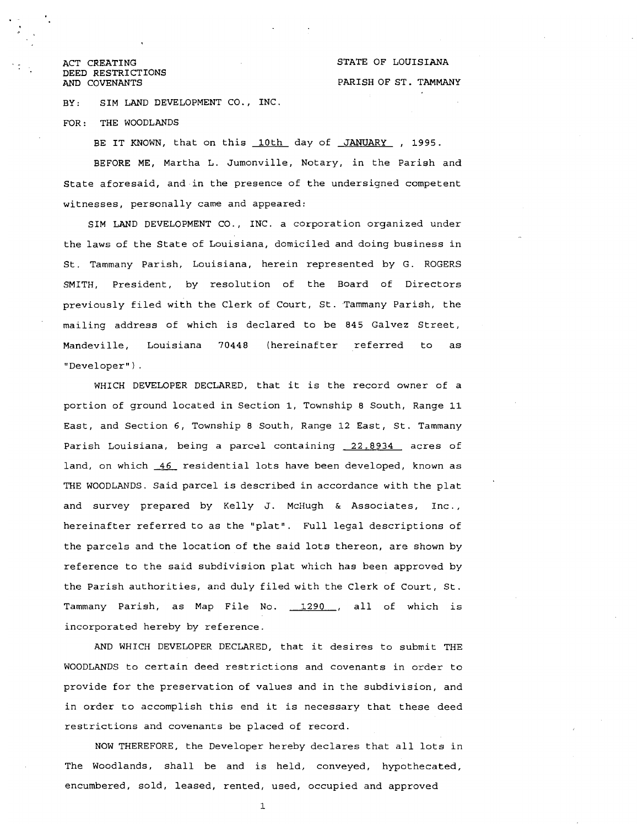<sup>~</sup>**<sup>a</sup>**ACT CREATING DEED RESTRICTIONS AND COVENANTS

BY: SIM LAND DEVELOPMENT CO., INC.

FOR: THE WOODLANDS

BE IT KNOWN, that on this 10th day of JANUARY , 1995. BEFORE ME, Martha L. Jumonville, Notary, in the Parish and State aforesaid, and.in the presence of the undersigned competent witnesses, personally came and appeared:

SIM LAND DEVELOPMENT CO., INC. a corporation organized under the laws of the State of Louisiana, domiciled and doing business in St. Tammany Parish, Louisiana, herein represented by G. ROGERS SMITH, President, by resolution of the Board of Directors previously filed with the Clerk of Court, St. Tammany Parish, the mailing address of which is declared to be 845 Galvez Street, Mandeville, Louisiana 70448 (hereinafter referred to as "Developer").

WHICH DEVELOPER DECLARED, that it is the record owner of a portion of ground located in Section 1, Township 8 South, Range 11 East, and Section 6, Township 8 South, Range 12 East, St. Tammany Parish Louisiana, being a parcel containing 22.8934 acres of land, on which *46* residential lots have been developed, known as THE WOODLANDS. Said parcel is described in accordance with the plat and survey prepared by Kelly J. McHugh & Associates, Inc., hereinafter referred to as the "plat". Full legal descriptions of the parcels and the location of the said lots thereon, are shown by reference to the said subdivision plat which has been approved by the Parish authorities, and duly filed with the Clerk of Court, St. Tammany Parish, as Map File No. 1290 , all of which is incorporated hereby by reference.

AND WHICH DEVELOPER DECLARED, that it desires to submit THE WOODLANDS to certain deed restrictions and covenants in order to provide for the preservation of values and in the subdivision, and in order to accomplish this end it is necessary that these deed restrictions and covenants be placed of record.

NOW THEREFORE, the Developer hereby declares that all lots in The Woodlands, shall be and is held, conveyed, hypothecated, encumbered, sold, leased, rented, used, occupied and approved

1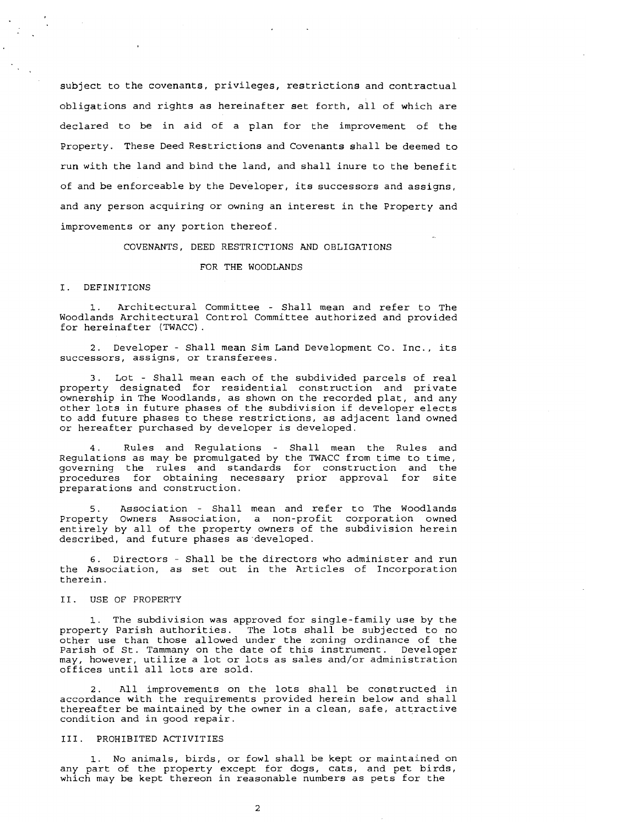subject to the covenants, privileges, restrictions and contractual obligations and rights as hereinafter set forth, all of which are declared to be in aid of a plan for the improvement of the Property. These Deed Restrictions and Covenants shall be deemed to run with the land and bind the land, and shall inure to the benefit of and be enforceable by the Developer, its successors and assigns, and any person acquiring or owning an interest in the Property and improvements or any portion thereof.

### COVENANTS, DEED RESTRICTIONS AND OBLIGATIONS

### FOR THE WOODLANDS

### I. DEFINITIONS

Architectural Committee - Shall mean and refer to The Woodlands Architectural Control Committee authorized and provided for hereinafter (TWACC) .

2. Developer - Shall mean Sim Land Development Co. Inc., its successors, assigns, or transferees.

3. Lot - Shall mean each of the subdivided parcels of real property designated for residential construction and private ownership in The Woodlands, as shown on the recorded plat, and any other lots in future phases of the subdivision if developer elects to add future phases to these restrictions, as adjacent land owned or hereafter purchased by developer is developed.

4. Rules and Regulations - Shall mean the Rules and Regulations as may be promulgated by the TWACC from time to time, governing the rules and standards for construction and the procedures for obtaining necessary prior approval for site preparations and construction.

5. Association - Shall mean and refer to The Woodlands Property Owners Association, a non-profit corporation owned entirely by all of the property owners of the subdivision herein described, and future phases as.developed.

6. Directors - Shall be the directors who administer and run the Association, as set out in the Articles of Incorporation therein.

### 11. USE OF PROPERTY

1. The subdivision was approved for single-family use by the property Parish authorities. The lots shall be subjected to no other use than those allowed under the zoning ordinance of the Parish of St. Tammany on the date of this instrument. Developer may, however, utilize a lot or lots as sales and/or administration offices until all lots are sold.

2. All improvements on the lots shall be constructed in accordance with the requirements provided herein below and shall thereafter be maintained by the owner in a clean, safe, attractive condition and in good repair.

### 111. PROHIBITED ACTIVITIES

**1.** No animals, birds, or fowl shall be kept or maintained on any part of the property except for dogs, cats, and pet birds, which may be kept thereon in reasonable numbers as pets for the

 $\overline{\mathbf{c}}$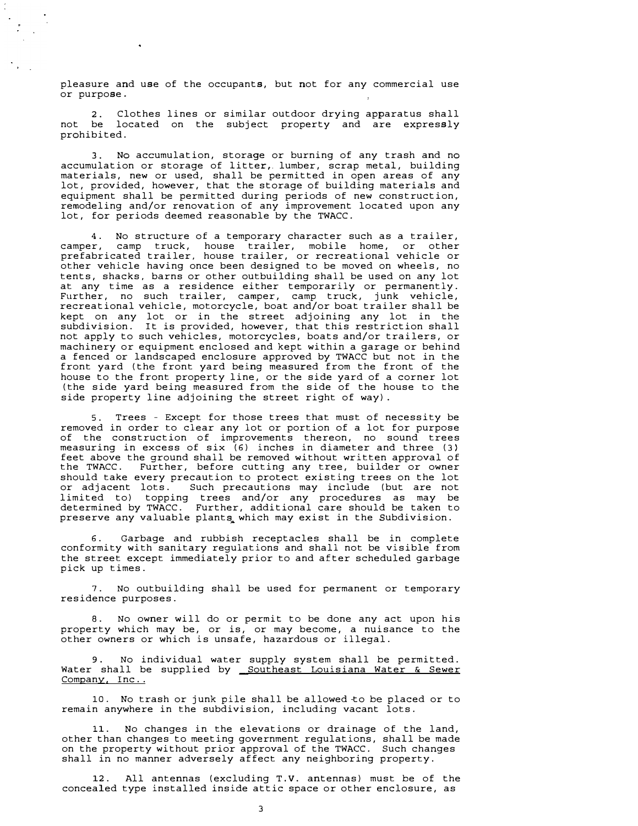pleasure and use of the occupants, but not for any commercial use or purpose.

2. Clothes lines or similar outdoor drying apparatus shall not be located on the subject property and are expressly prohibited.

3. No accumulation, storage or burning of any trash and no accumulation or storage of litter, lumber, scrap metal, building materials, new or used, shall be permitted in open areas of any lot, provided, however, that the storage of building materials and equipment shall be permitted during periods of new construction, remodeling and/or renovation of any improvement located upon any lot, for periods deemed reasonable by the TWACC.

4. No structure of a temporary character such as a trailer, camper, camp truck, house trailer, mobile home, or other prefabricated trailer, house trailer, or recreational vehicle or other vehicle having once been designed to be moved on wheels, no tents, shacks, barns or other outbuilding shall be used on any lot at any time as a residence either temporarily or permanently. Further, no such trailer, camper, camp truck, junk vehicle, recreational vehicle, motorcycle, boat and/or boat trailer shall be kept on any lot or in the street adjoining any lot in the subdivision. It is provided, however, that this restriction shall not apply to such vehicles, motorcycles, boats and/or trailers, or machinery or equipment enclosed and kept within a garage or behind a fenced or landscaped enclosure approved by TWACC but not in the front yard (the front yard being measured from the front of the house to the front property line, or the side yard of a corner lot (the side yard being measured from the side of the house to the side property line adjoining the street right of way).

Trees - Except for those trees that must of necessity be removed in order to clear any lot or portion of a lot for purpose of the construction of improvements thereon, no sound trees measuring in excess of six (6) inches in diameter and three (3) feet above the ground shall be removed without written approval of<br>the TWACC. Further, before cutting any tree, builder or owner Further, before cutting any tree, builder or owner should take every precaution to protect existing trees on the lot or adjacent lots. Such precautions may include (but are not limited to) topping trees and/or any procedures as may be determined by TWACC. Further, additional care should be taken to preserve any valuable plants which may exist in the Subdivision.

Garbage and rubbish receptacles shall be in complete conformity with sanitary regulations and shall not be visible from the street except immediately prior to and after scheduled garbage pick up times.

7. No outbuilding shall be used for permanent or temporary residence purposes.

8. No owner will do or permit to be done any act upon his property which may be, or is, or may become, a nuisance to the other owners or which is unsafe, hazardous or illegal.

No individual water supply system shall be permitted. Water shall be supplied by Southeast Louisiana Water & Sewer Company, Inc..

10. No trash or junk pile shall be allowed to be placed or to remain anywhere in the subdivision, including vacant lots.

11. No changes in the elevations or drainage of the land, other than changes to meeting government regulations, on the property without prior approval of the TWACC. shall in no manner adversely affect any neighboring property. shall be made Such changes

12. All antennas (excluding T.V. antennas) must be of the concealed type installed inside attic space or other enclosure, as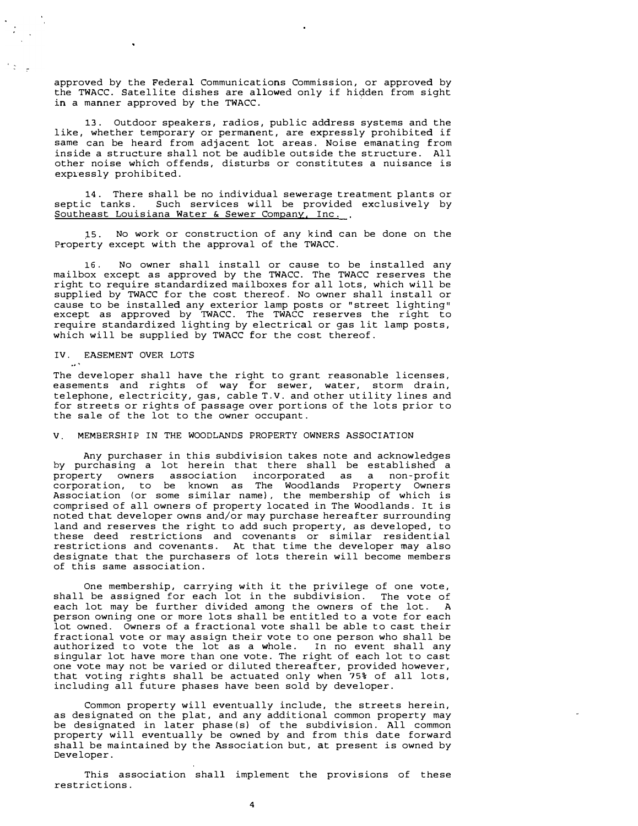approved by the Federal Communications Commission, or approved by the TWACC. Satellite dishes are allowed only if hidden from sight in a manner approved by the TWACC.

13. Outdoor speakers, radios, public address systems and the like, whether temporary or permanent, are expressly prohibited if same can be heard from adjacent lot areas. Noise emanating from inside a structure shall not be audible outside the structure. All other noise which offends, disturbs or constitutes a nuisance is expressly prohibited.

14. There shall be no individual sewerage treatment plants or septic tanks. Such services will be provided exclusively by Southeast Louisiana Water & Sewer Company, Inc.

15. No work or construction of any kind can be done on the Property except with the approval of the TWACC.

16. No owner shall install or cause to be installed any mailbox except as approved by the TWACC. The TWACC reserves the right to require standardized mailboxes for all lots, which will be supplied by TWACC for the cost thereof. No owner shall install or cause to be installed any exterior lamp posts or "street lighting" except as approved by TWACC. The TWACC reserves the right to require standardized lighting by electrical or gas lit lamp posts, which will be supplied by TWACC for the cost thereof.

### IV. EASEMENT OVER LOTS

ta l

The developer shall have the right to grant reasonable licenses, easements and rights of way for sewer, water, storm drain, telephone, electricity, gas, cable T.V. and other utility lines and for streets or rights of passage over portions of the lots prior to the sale of the lot to the owner occupant.

V. MEMBERSHIP IN THE WOODLANDS PROPERTY OWNERS ASSOCIATION

Any purchaser in this subdivision takes note and acknowledges by purchasing a lot herein that there shall be established a property owners association incorporated as a non-profit corporation, to be known as The Woodlands Property Owners Association (or some similar name), the membership of which is comprised of all owners of property located in The Woodlands. It is noted that developer owns and/or may purchase hereafter surrounding land and reserves the right to add such property, as developed, to these deed restrictions and covenants or similar residential restrictions and covenants. At that time the developer may also designate that the purchasers of lots therein will become members of this same association.

One membership, carrying with it the privilege of one vote, shall be assigned for each lot in the subdivision. The vote of each lot may be further divided among the owners of the lot. A person owning one or more lots shall be entitled to a vote for each lot owned. Owners of a fractional vote shall be able to cast their fractional vote or may assign their vote to one person who shall be authorized to vote the lot as a whole. In no event shall any singular lot have more than one vote. The right of each lot to cast one vote may not be varied or diluted thereafter, provided however, that voting rights shall be actuated only when 75% of all lots, including all future phases have been sold by developer.

Common property will eventually include, the streets herein, as designated on the plat, and any additional common property may be designated in later phase(s) of the subdivision. All common property will eventually be owned by and from this date forward shall be maintained by the Association but, at present is owned by Developer.

This association shall implement the provisions of these restrictions.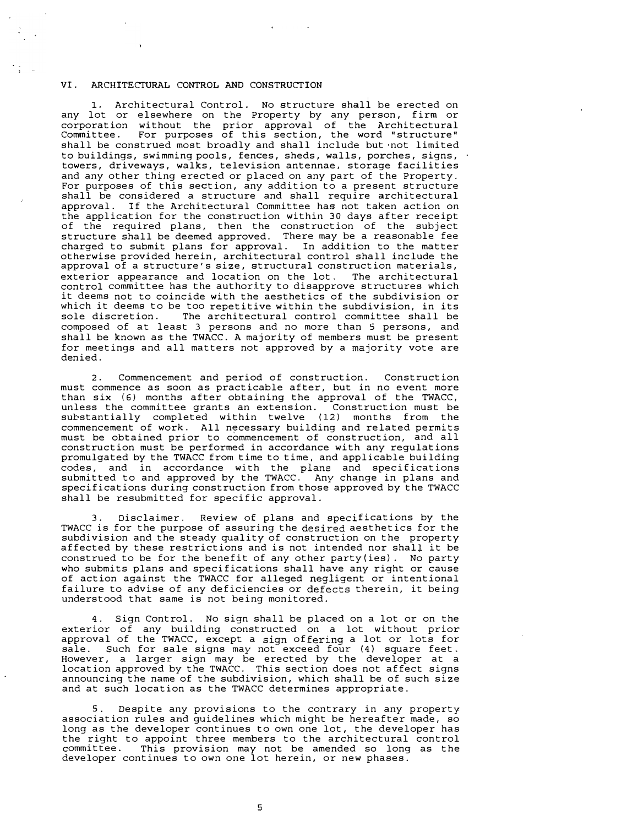### VI. ARCHITECTURAL CONTROL AND CONSTRUCTION

1. Architectural Control. No structure shall be erected on any lot or elsewhere on the Property by any person, firm or corporation without the prior approval of the Architectural Committee. For purposes of this section, the word "structure" shall be construed most broadly and shall include but not limited to buildings, swimming pools, fences, sheds, walls, porches, signs, towers, driveways, walks, television antennae, storage facilities and any other thing erected or placed on any part of the Property. For purposes of this section, any addition to a present structure shall be considered a structure and shall require architectural approval. If the Architectural Committee has not taken action on the application for the construction within 30 days after receipt of the required plans, then the construction of the subject structure shall be deemed approved. There may be a reasonable fee charged to submit plans for approval. In addition to the matter otherwise provided herein, architectural control shall include the approval of a structure's size, structural construction materials, exterior appearance and location on the lot. The architectural control committee has the authority to disapprove structures which it deems not to coincide with the aesthetics of the subdivision or which it deems to be too repetitive within the subdivision, in its<br>sole discretion. The architectural control committee shall be The architectural control committee shall be composed of at least 3 persons and no more than 5 persons, and shall be known as the TWACC. A majority of members must be present for meetings and all matters not approved by a majority vote are denied.

2. Commencement and period of construction. Construction must commence as soon as practicable after, but in no event more than six (6) months after obtaining the approval of the TWACC, unless the committee grants an extension. Construction must be substantially completed within twelve (12) months from the substantially completed within twelve (12) months from commencement of work. All n�cessary building and related permits must be obtained prior to commencement of construction, and all construction must be performed in accordance with any regulations promulgated by the TWACC from time to time, and applicable building codes, and in accordance with the plans and specifications submitted to and approved by the TWACC. Any change in plans and specifications during construction from those approved by the TWACC shall be resubmitted for specific approval.

3. Disclaimer. Review of plans and specifications by the TWACC is for the purpose of assuring the desired aesthetics for the subdivision and the steady quality of construction on the property affected by these restrictions and is not intended nor shall it be construed to be for the benefit of any other party(ies). No party who submits plans and specifications shall have any right or cause of action against the TWACC for alleged negligent or intentional failure to advise of any deficiencies or defects therein, it being understood that same is not being monitored.

4. Sign Control. No sign shall be placed on a lot or on the exterior of any building constructed on a lot without prior approval of the TWACC, except a sign offering a lot or lots for sale. Such for sale signs may not exceed four (4) square feet. However, a larger sign may be erected by the developer at a location approved by the TWACC. This section does not affect signs announcing the name of the subdivision, which shall be of such size and at such location as the TWACC determines appropriate.

Despite any provisions to the contrary in any property association rules and guidelines which might be hereafter made, so long as the developer continues to own one lot, the developer has the right to appoint three members to the architectural control committee. This provision may not be amended so long as the developer continues to own one lot herein, or new phases.

5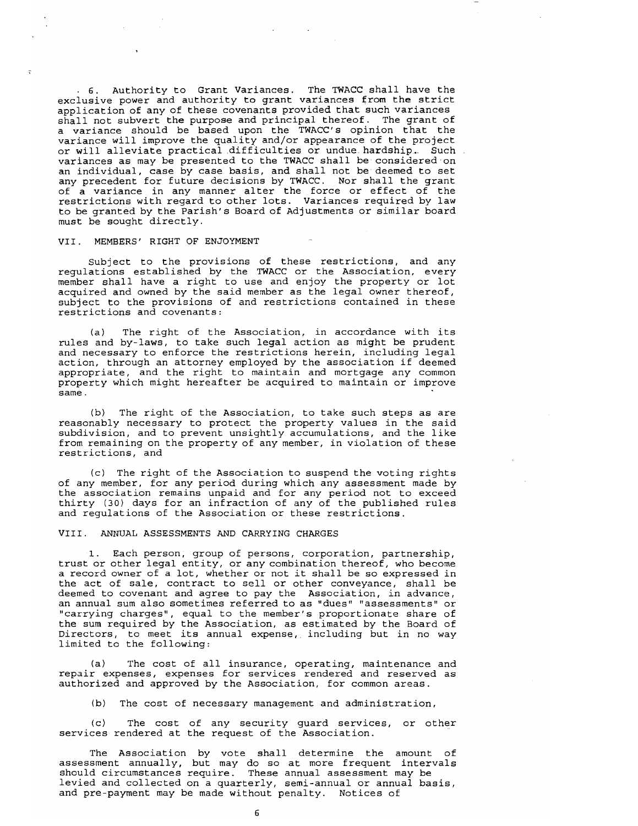. 6. Authority to Grant Variances. The TWACC shall have the exclusive power and authority to grant variances from the strict application of any of these covenants provided that such variances shall not subvert the purpose and principal thereof. The grant of a variance should be based upon the TWACC's opinion that the variance will improve the quality and/or appearance of the project or will alleviate practical difficulties or undue hardship. Such variances as may be presented to the TWACC shall be considered on an individual, case by case basis, and shall not be deemed to set any precedent for future decisions by TWACC. Nor shall the grant of a variance in any manner alter the force or effect of the restrictions with regard to other lots. Variances required by law to be granted by the Parish's Board of Adjustments or similar board must be sought directly.

### VII. MEMBERS' RIGHT OF ENJOYMENT

Subject to the provisions of these restrictions, and any regulations established by the TWACC or the Association, every member shall have a right to use and enjoy the property or lot acquired and owned by the said member as the legal owner thereof, subject to the provisions of and restrictions contained in these restrictions and covenants:

(a) The right of the Association, in accordance with its rules and by-laws, to take such legal action as might be prudent and necessary to enforce the restrictions herein, including legal action, through an attorney employed by the association if deemed appropriate, and the right to maintain and mortgage any common property which might hereafter be acquired to maintain or improve same .

(b) The right of the Association, to take such steps as are reasonably necessary to protect the property values in the said subdivision, and to prevent unsightly accumulations, and the like from remaining on the property of any member, in violation of these restrictions, and

(c) The right of the Association to suspend the voting rights of any member, for any period during which any assessment made by the association remains unpaid and for any period not to exceed thirty (30) days for an infraction of any of the published rules and regulations of the Association or these restrictions.

### VIII. ANNUAL ASSESSMENTS AND CARRYING CHARGES

1. Each person, group of persons, corporation, partnership, trust or other legal entity, or any combination thereof, who become a record owner of a lot, whether or not it shall be so expressed in the act of sale, contract to sell or other conveyance, shall be deemed to covenant and agree to pay the Association, in advance, an annual sum also sometimes referred to as "dues" "assessments" or "carrying charges", equal to the member's proportionate share of the sum required by the Association, as estimated by the Board of Directors, to meet its annual expense, including but in no way limited to the following:

(a) The cost of all insurance, operating, maintenance and repair expenses, expenses for services rendered and reserved as authorized and approved by the Association, for common areas.

(b) The cost of necessary management and administration,

(c) The cost of any security guard services, or other services rendered at the request of the Association.

The Association by vote shall determine the amount of assessment annually, but may do so at more frequent intervals should circumstances require. These annual assessment may be levied and collected on a quarterly, semi-annual or annual basis, and pre-payment may be made without penalty. Notices of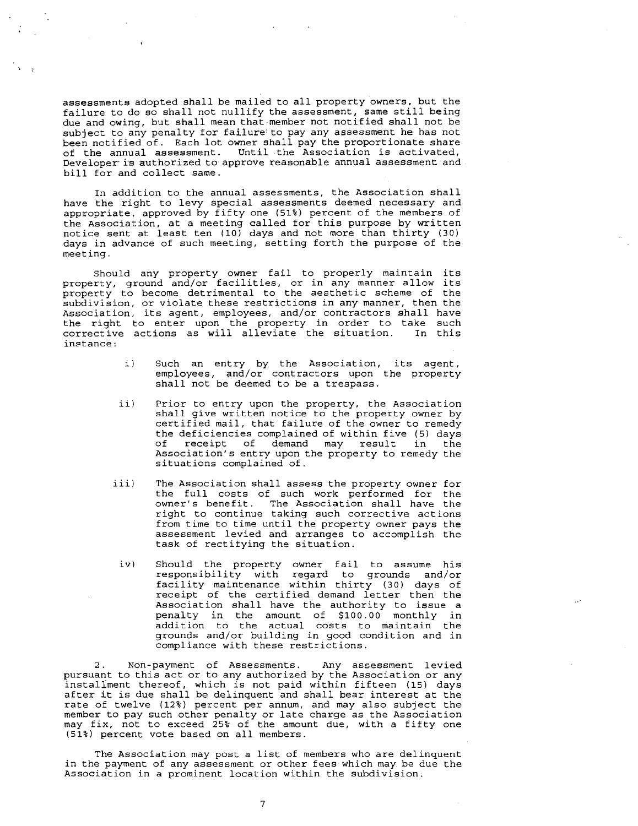assessments adopted shall be mailed to all property owners, but the failure to do so shall not nullify the assessment, same still being due and owing, but shall mean that member not notified shall not be subject to any penalty for failure' to pay any assessment he has not been notified of. Each lot owner shall pay the proportionate share of the annual assessment. Until the Association is activated, Developer is authorized to approve reasonable annual assessment and bill for and collect same.

In addition to the annual assessments, the Association shall have the right to levy special assessments deemed necessary and appropriate, approved by fifty one (51%) percent of the members of the Association, at a meeting called for this purpose by written notice sent at least ten (10) days and not more than thirty (30) days in advance of such meeting, setting forth the purpose of the meeting.

Should any property owner fail to properly maintain its property, ground and/or facilities, or in any manner allow its property to become detrimental to the aesthetic scheme of the subdivision, or violate these restrictions in any manner, then the Association, its agent, employees, and/or contractors shall have the right to enter upon the property in order to take such<br>corrective actions as will alleviate the situation. In this  $\overrightarrow{corrective}$  actions as will alleviate the situation. inetance :

- i) Such an entry by the Association, its agent, employees, and/or contractors upon the property shall not be deemed to be a trespass.
- $i i$ Prior to entry upon the property, the Association shall give written notice to the property owner by certified mail, that failure of the owner to remedy the deficiencies complained of within five (5) days<br>of receipt of demand may result in the receipt of demand may result in Association's entry upon the property to remedy the situations complained of.
- iii ) The Association shall assess the property owner for the full costs of such work performed for the owner's benefit. The Association shall have the right to continue taking such corrective actions from time to time until the property owner pays the assessment levied and arranges to accomplish the task of rectifying the situation.
- $iv)$ Should the property owner fail to assume his responsibility with regard to grounds and/or facility maintenance within thirty (30) days of receipt of the certified demand letter then the Association shall have the authority to issue a penalty in the amount of \$100.00 monthly in addition to the actual costs to maintain the grounds and/or building in good condition and in compliance with these restrictions.

2. Non-payment of Assessments. Any assessment levied pursuant to this act or to any authorized by the Association or any instaliment thereof, which is not paid within fifteen (15) days after it is due shall be delinquent and shall bear interest at the rate of twelve (12%) percent per annum, and may also subject the member to pay such other penalty or late charge as the Association may fix, not to exceed 25% of the amount due, with a fifty one (51%) percent vote based on all members.

The Association may post a list of members who are delinquent in the payment of any assessment or other fees which may be due the Association in a prominent location within the subdivision.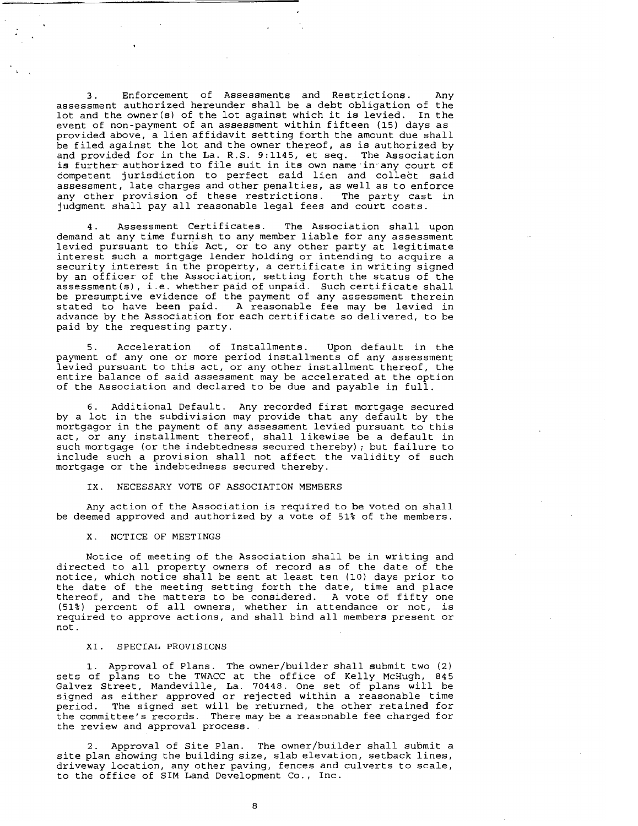3. Enforcement of Assessments and Restrictions. Any assessment authorized hereunder shall be a debt obligation of the lot and the owner (s) of the lot against which it is levied. In the event of non-payment of an assessment within fifteen (15) days as provided above, a lien affidavit setting forth the amount due shall be filed against the lot and the owner thereof, as is authorized by and provided for in the La. R.S. 9:1145, et seq. The Association is further authorized to file suit in its own name in any court of competent jurisdiction to perfect said lien and collect said assessment, late charges and other penalties, as well as to enforce any other provision of these restrictions. The party cast in judgment shall pay all reasonable legal fees and court costs.

4. Assessment Certificates. The Association shall upon demand at any time furnish to any member liable for any assessment levied pursuant to this Act, or to any other party at legitimate interest such a mortgage lender holding or intending to acquire a security interest in the property, a certificate in writing signed by an officer of the Association, setting forth the status of the assessment(s), i.e. whether paid of unpaid. Such certificate shall be presumptive evidence of the payment of any assessment therein stated to have been paid. A reasonable fee may be levied in advance by the Association for each certificate so delivered, to be paid by the requesting party.

5. Acceleration of Installments. Upon default in the payment of any one or more period installments of any assessment levied pursuant to this act, or any other installment thereof, the entire balance of said assessment may be accelerated at the option of the Association and declared to be due and payable in full.

6. Additional Default. Any recorded first mortgage secured by a lot in the subdivision may provide that any default by the mortgagor in the payment of any assessment levied pursuant to this act, or any installment thereof, shall likewise be a default in such mortgage (or the indebtedness secured thereby) ; but failure to include such a provision shall not affect the validity of such mortgage or the indebtedness secured thereby.

### IX. NECESSARY VOTE OF ASSOCIATION MEMBERS

Any action of the Association is required to be voted on shall be deemed approved and authorized by a vote of 51% of the members.

### X. NOTICE OF MEETINGS

Notice of meeting of the Association shall be in writing and directed to all property owners of record as of the date of the notice, which notice shall be sent at least ten (10) days prior to the date of the meeting setting forth the date, time and place thereof, and the matters to be considered. A vote of fifty one (51%) percent of all owners, whether in attendance or not, is required to approve actions, and shall bind all members present or not.

### XI. SPECIAL PROVISIONS

1. Approval of Plans. The owner/builder shall submit two (2) sets of plans to the TWACC at the office of Kelly McHugh, 845 Galvez Street, Mandeville, La. 70448. One set of plans will be signed as either approved or rejected within a reasonable time period. The signed set will be returned, the other retained for the committee's records. There may be a reasonable fee charged for the review and approval process.

2. Approval of Site Plan. The owner/builder shall submit a site plan showing the building size, slab elevation, setback lines, driveway location, any other paving, fences and culverts to scale, to the office of SIM Land Development Co., Inc.

8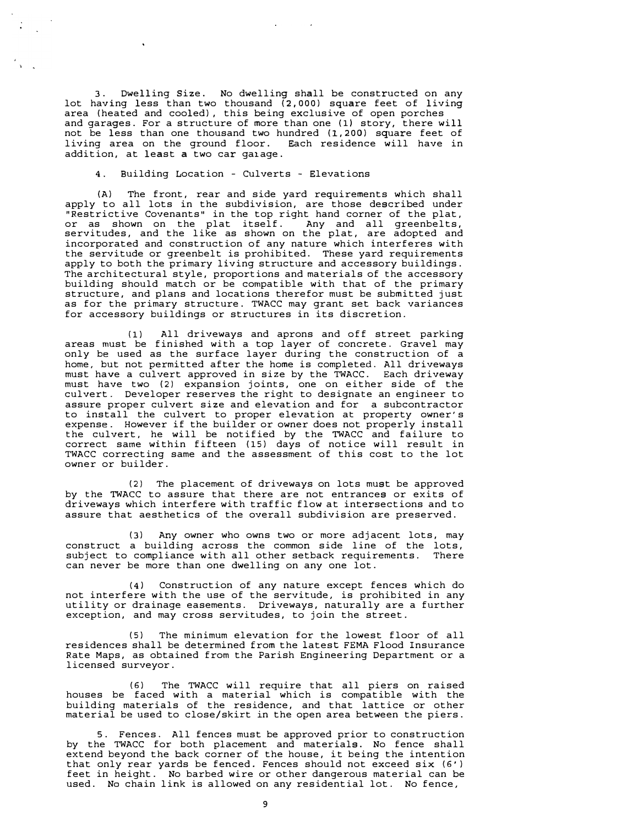3. Dwelling Size. No dwelling shall be constructed on any lot having less than two thousand (2,000) square feet of living area (heated and cooled), this being exclusive of open porches and garages. For a structure of more than one (1) story, there will not be less than one thousand two hundred (1,200) square feet of living area on the ground floor. Each residence will have in addition, at least a two car ga1age.

**4.** Building Location - Culverts - Elevations

(A) The front, rear and side yard requirements which shall apply to all lots in the subdivision, are those described under "Restrictive Covenants• in the top right hand corner of the plat, or as shown on the plat itself. Any and all greenbelts, servitudes, and the like as shown on the plat, are adopted and incorporated and construction of any nature which interferes with the servitude or greenbelt is prohibited. These yard requirements apply to both the primary living structure and accessory buildings. The architectural style, proportions and materials of the accessory building should match or be compatible with that of the primary structure, and plans and locations therefor must be submitted just as for the primary structure. TWACC may grant set back variances for accessory buildings or structures in its discretion.

(1) All driveways and aprons and off street parking areas must be finished with a top layer of concrete. Gravel may only be used as the surface layer during the construction of a home, but not permitted after the home is completed. All driveways must have a culvert approved in size by the TWACC. Each driveway must have two (2) expansion joints, one on either side of the culvert. Developer reserves the right to designate an engineer to assure proper culvert size and elevation and for a subcontractor to install the culvert to proper elevation at property owner's expense. However if the builder or owner does not properly install the culvert, he will be notified by the TWACC and failure to correct same within fifteen (15) days of notice will result in TWACC correcting same and the assessment of this cost to the lot owner or builder.

(2) The placement of driveways on lots must be approved by the TWACC to assure that there are not entrances or exits of driveways which interfere with traffic flow at intersections and to assure that aesthetics of the overall subdivision are preserved.

(3) Any owner who owns two or more adjacent lots, may construct a building across the common side line of the lots, subject to compliance with all other setback requirements. There can never be more than one dwelling on any one lot.

**(4)** Construction of any nature except fences which do not interfere with the use of the servitude, is prohibited in any utility or drainage easements. Driveways, naturally are a further exception, and may cross servitudes, to join the street.

(5) The minimum elevation for the lowest floor of all residences shall be determined from the latest FEMA Flood Insurance Rate Maps, as obtained from the Parish Engineering Department or a licensed surveyor.

(6) The TWACC will require that all piers on raised houses be faced with a material which is compatible with the building materials of the residence, and that lattice or other material be used to close/skirt in the open area between the piers.

5. Fences. All fences must be approved prior to construction by the TWACC for both placement and materials. No fence shall extend beyond the back corner of the house, it being the intention that only rear yards be fenced. Fences should not exceed six (6') feet in height. No barbed wire or other dangerous material can be used. No chain link is allowed on any residential lot. No fence,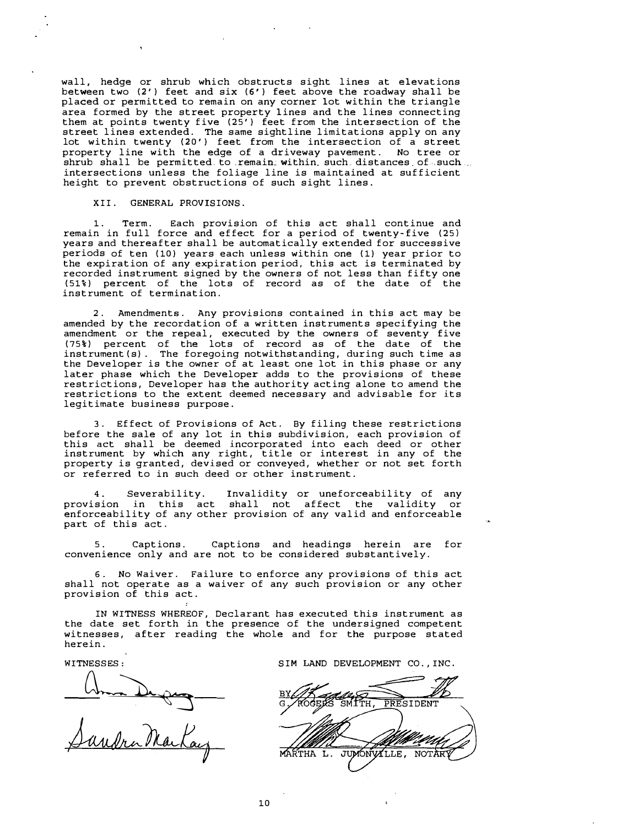wall, hedge or shrub which obstructs sight lines at elevations between two (2') feet and six (6') feet above the roadway shall be placed or permitted to remain on any corner lot within the triangle area formed by the street property lines and the lines connecting them at points twenty five (25') feet from the intersection of the street lines extended. The same sightline limitations apply on any lot within twenty (20') feet from the intersection of a street property line with the edge of a driveway pavement. No tree or shrub shall be permitted to remain within such distances of such... intersections unless the foliage line is maintained at sufficient height to prevent obstructions of such sight lines.

### XII. GENERAL PROVISIONS.

1. Term. Each provision of this act shall continue and remain in full force and effect for a period of twenty-five (25) years and thereafter shall be automatically extended for successive periods of ten (10) years each unless within one (1) year prior to the expiration of any expiration period, this act is terminated by recorded instrument signed by the owners of not less than fifty one (51%) percent of the lots of record as of the date of the instrument of termination.

Amendments. Any provisions contained in this act may be amended by the recordation of a written instruments specifying the amendment or the repeal, executed by the owners of seventy five (75%) percent of the lots of record as of the date of the instrument(s). The foregoing notwithstanding, during such time as the Developer is the owner of at least one lot in this phase or any later phase which the Developer adds to the provisions of these restrictions, Developer has the authority acting alone to amend the restrictions to the extent deemed necessary and advisable for its legitimate business purpose.

3. Effect of Provisions of Act. By filing these restrictions before the sale of any lot in this subdivision, each provision of this act shall be deemed incorporated into each deed or other instrument by which any right, title or interest in any of the property is granted, devised or conveyed, whether or not set forth or referred to in such deed or other instrument.

Severability. Invalidity or uneforceability of any<br>in this act shall not affect the validity or provision in this act shall not affect the validity enforceability of any other provision of any valid and enforceable part of this act.

Captions. Captions and headings herein are for convenience only and are not to be considered substantively.

6. No Waiver. Failure to enforce any provisions of this act shall not operate as a waiver of any such provision or any other provision of this act.

IN WITNESS WHEREOF, Declarant has executed this instrument as the date set forth in the presence of the undersigned competent witnesses, after reading the whole and for the purpose stated herein.

Sandra Markay

WITNESSES: SIM LAND DEVELOPMENT CO., INC.

SMITH PRESIDENT MARTHA L. NOTARY JUMONVILLE,

10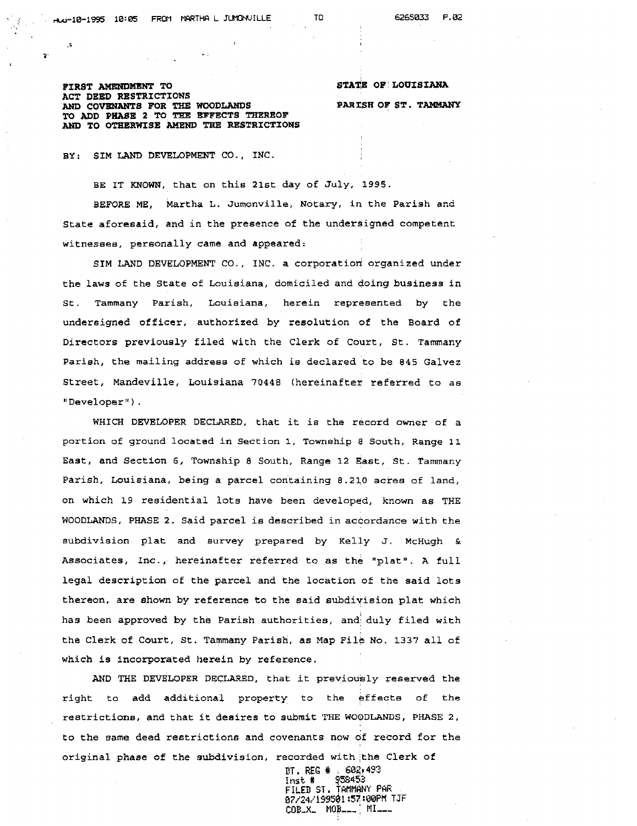ę.

**BIR8T AMENDMENT TO ACT DEED RESTRICTIONS AND COVENANTS FOR THE WOODLANDS TO ADD PHASE 2 TO** TBZ **BFFECTS THEREOF AND TO OTXERWISE AMEND** THE **RESTRICTIONS**  **STATE OF' LOUISIANA PARISH OF ST. TAMMANY** 

BY: SIM LAND DEVELOPMENT CO., INC.

BE IT KNOWN, that on this 2lst day of July, 1995.

BEFORE ME, Martha L. Jurnonville, Notary, in the Parish and State aforesaid, and in the presence of the undersigned competent witnesees, personally came and appeared:

SIM LAND DEVELOPMENT CO., INC. a corporation organized under the laws of the State of Louisiana, domiciled and doing business in St. Tammany Parish, Louisiana, herein represented by the undersigned officer, authorized by resolution of the Board of Directors previously filed with the Clerk of Court, St. Tammany Parish, the mailing address of which is declared to be 845 Galvez Street, Mandeville, Louisiana 70448 (hereinafter referred to as "Developer ) .

WHICH DEVELOPER DECLARED, that it is the record owner of a portion of ground located in Section **1,** Township **8** South, Range **1** 1 East, and Section 6, Township **8** South, Range 12 East, St. Tammany Parish, Louisiana, being a parcel containing 8.210 acres of land, on which 19 residential lots have been developed, known as THE **WOODUNDS,** PHASE 2. Said parcel is described in accordance with the subdivision plat and eurvey prepared by Kelly J. **McHugh** *t*  Associates, Inc. , hereinafter referred to as the "plat". **A** full legal description of the parcel and the location of the said lots thereon, are shown by reference to the said subdivision plat which has been approved by the Parish authorities, and duly filed with the Clerk of Court, St. Tammany Parish, as Map File No. 1337 all of which is incorporated herein by reference.

AND THE DEVELOPER DECLARED, that it previously reserved the right to add additional property to the effects **of** the restrictions, and that it desires to submit THE WOODLANDS, PHASE 2, to the same deed restrictions and covenants now df record for the original phase of the subdivision, recorded with the Clerk of

> DT . **BEG** # , **684,493**  Inst # **7584% FILED ST, TANNANY PAE fi7/24/1~&1:57 :WBPM** TJF **COB-X, MOB,** ' **MI---**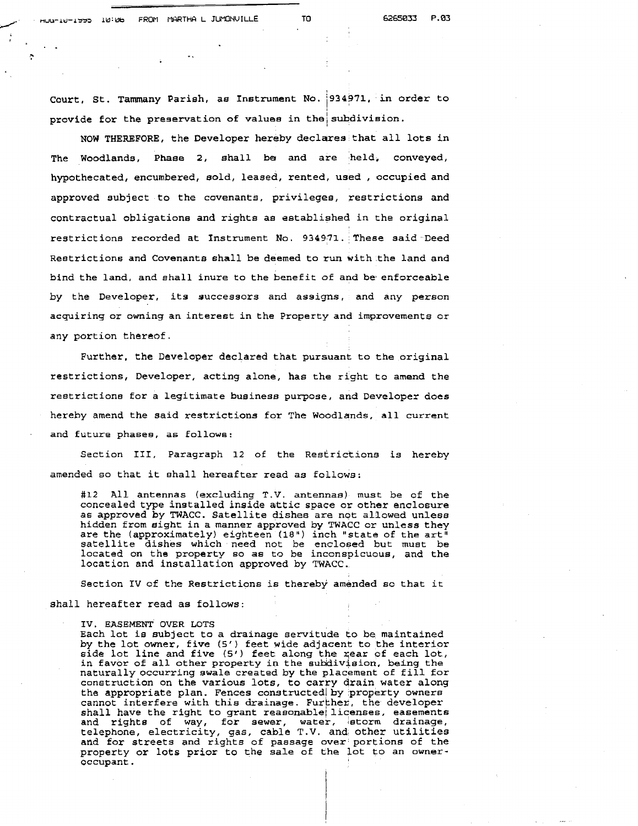A

Court, St. Tammany Parish, ae Instrument NO. **1934971.** in order to provide for the preservation of values in the subdivision.

NOW THEREFORE, the Developer hereby declares that all lots in The Woodlands, Phase 2, shall be and are held, conveyed, hypothecated, encumbered, sold, leased, rented, used , occupied and approved subject to the covenants, privileges, restrictions and contractual obligations and rights as established in the original restrictione recorded at Instrument No. 934971. These said Deed Restrictions and Covenants shall be deemed to run with the land and bind the land, and shall inure to the benefit of and be enforceable by the Developer, its successors and assigns, and **any** person acquiring or owning an interest in the Property and improvements or any portion thereof.

Further, the Developer declared that pursuant to the original restrictions, Developer, acting alone, has the right to amend the reetrictions for a legitimate business purpose, and Developer does hereby amend the said restrictions for The Woodlands, all current and future phases, as follows:

Section 111, Paragraph 12 of the Resfrickions is hereby amended so that it shall hereafter read as follows:

**#12** All antennas (excluding T.V. antennas) must be of the concealed type installed inside attic space or other enclosure as approved **by** TWACC. Satellite dishes are not allowed unlese hidden from sight in a manner approved by TWACC or unless they are the (approximately) eighteen (18") inch "state of the art<sup>i</sup> satellite dishes which need not be enclosed but must be located on the property so as to be inconspicuous, and the location and installation approved by TWACC.

Section IV of the Restrictions is thereby amended so that it

### shall hereafter read as follows:

**IV.** EASEMENT OVER LOTS

Each lot is subject to a drainage servitude to be maintained **by** the lot owner, five **(5'** ) feet wide adjacent to the interior side lot line and five (5<sup>7</sup>) feet along the rear of each lot, in favor of all other property in the sukidiviaion, being the naturally occurring swale created by the placement of fill for construction on the various lots, to carry drain water along the appropriate plan. Fences constructed by property owners cannot interfere with this drainage. Further, the developer shall have the right to grant reasonable licenses, easements and rights of way, for sewer, water, storm drainage, telephone, electrlclty, gas, cable T.V. and other utilities and for streets and rights of passage over portions of the property or lots prior to the sale of the lot to an owneroccupant.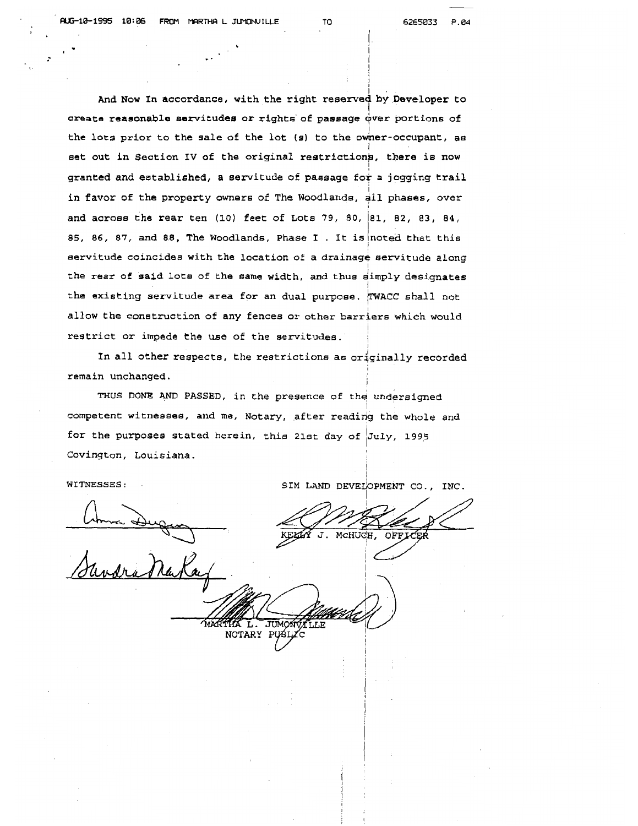And Now In accordance, with the right reserved by Developer to create reasonable sarvitudee or rights of passage **4ver** portions of the lots prior to the sale of the lot (s) to the owner-occupant, as set out in Section IV of the original restrictions, there is now granted and established, a servitude of passage for a jogging trail in favor of the property owners of The Woodlands,  $\frac{1}{4}$ ll phases, over and acroee the rear ten (10) feet of Lots 79, 80, 81, **82, 83, 84,** 85, 86, 87, and 88, The Woodlands, Phase I . It is noted that this servitude coincides with the location of a drainage servitude along the rear of said lots of the same width, and thus simply designates the existing servitude area for an dual purpose. TWACC shall not allow the construction of any fences or other barriers which would restrict or impede the use of the servitudes.

In all other respects, the restrictions as originally recorded remain unchanged.

THUS DONE AND PASSED, in the presence of the undersigned competent witnesses, and me, Notary, after reading the whole and for the purposes stated herein, this 21st day of  $July$ , 1995 Covington, Louisiana.

**WITNESSES:** .

MCHUGH.  $J$ . **OFFIC** 

LLE

SIM LAND DEVELOPMENT CO., INC.

Uma Dug MA<sub>1</sub> JUMON NOTARY PUBLIC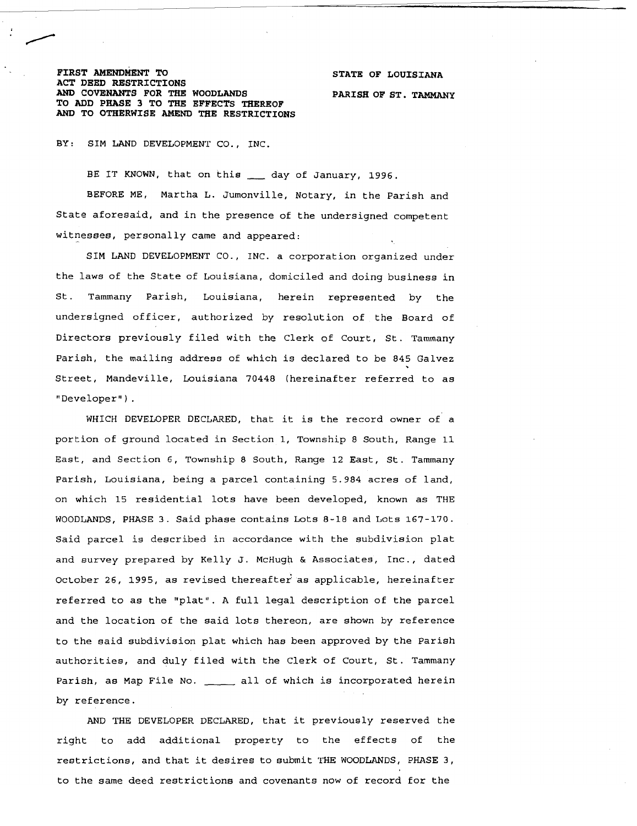### FIRST AMENDMENT TO STATE OF LOUISIANA **ACT DEED RESTRICTIONS AM> COVENANTS FOR THE WOODLANDS PARISH OF ST. TAMMANY TO ADD PRASE 3 TO THE EFFECTS THEREOF**  *ANJJ* **TO OTHERWISE AMEND THE RESTRICTIONS**

BY: SIM LAND DEVELOPMENT CO., INC.

BE IT KNOWN, that on this \_\_\_ day of January, 1996. BEFORE ME, Martha L. Jumonville, Notary, in the Parish and State aforesaid, and in the presence of the undersigned competent witnesses, personally came and appeared:

SIM LAND DEVELOPMENT CO., INC. a corporation organized under the laws of the State of Louisiana, domiciled and doing business in St. Tammany Parish, Louisiana, herein represented by the undersigned officer, authorized by resolution of the Board of Directors previously filed with the Clerk of Court, St. Tammany Parish, the mailing address of which is declared to be 845 Galvez Street, Mandeville, Louisiana 70448 (hereinafter referred to as "Developer" ) .

WHICH DEVELOPER DECLARED, that it is the record owner of a portion of ground located in Section 1, Township 8 South, Range 11 East, and Section 6, Township 8 South, Range 12 East, St. Tammany Parish, Louisiana, being a parcel containing 5.984 acres of land, on which 15 residential lots have been developed, known as THE WOODLANDS, PHASE 3. Said phase contains Lots 8-18 and Lots 167-170. Said parcel is described in accordance with the subdivision plat and survey prepared by Kelly **J.** McHugh & Associates, Inc., dated October **26, 1995,** as revised thereafte; as applicable, hereinafter referred to as the "plat". A full legal description of the parcel and the location of the said lots thereon, are shown by reference to the said subdivision plat which has been approved by the Parish authorities, and duly filed with the Clerk of Court, St. Tammany Parish, as Map File No. \_ \_ all of which is incorporated herein by reference.

AND THE DEVELOPER DECLARED, that it previously reserved the right to add additional property to the effects of the restrictions, and that it desires to submit THE WOODLANDS, PHASE 3, to the same deed restrictions and covenants now of record for the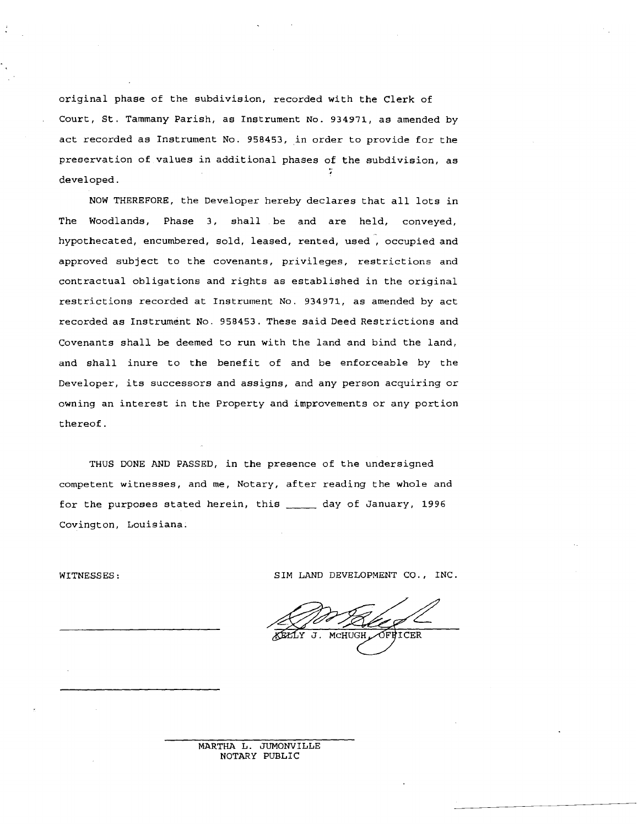original phase of the subdivision, recorded with the Clerk of Court, St. Tarnrnany Parish, as Instrument No. **934971,** as amended by act recorded as Instrument No. **958453,** in order to provide for the preservation of values in additional phases of the subdivision, as developed.

NOW THEREFORE, the Developer hereby declares that all lots in The Woodlands, Phase 3, shall be and are held, conveyed, hypothecated, encumbered, sold, leased, rented, used, occupied and approved subject to the covenants, privileges, restrictions and contractual obligations and rights as established in the original restrictions recorded at Instrument NO. **934971,** as amended by act recorded as Instrument No. **958453.** These said Deed Restrictions and Covenants shall be deemed to run with the land and bind the land, and shall inure to the benefit of and be enforceable by the Developer, its successors and assigns, and any person acquiring or owning an interest in the Property and improvements or any portion thereof.

THUS DONE AND PASSED, in the presence of the undersigned competent witnesses, and me, Notary, after reading the whole and for the purposes stated herein, this \_\_\_\_\_ day of January, 1996 Covington, Louisiana.

WITNESSES: SIM LAND DEVELOPMENT CO., INC.

MCHIIG OFBICER  $\mathbf{T}$ .

MARTHA L. JUMONVILLE NOTARY PUBLIC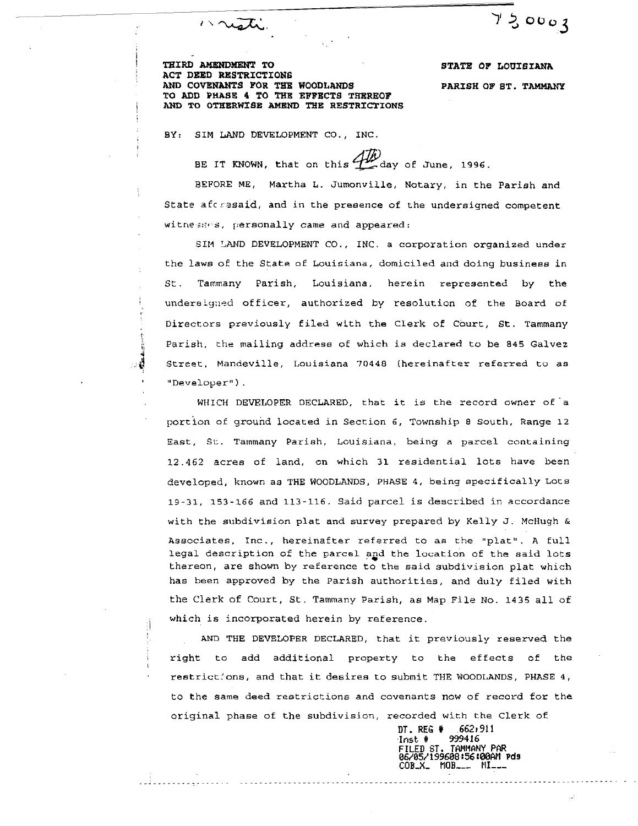$720003$ 

**THIRD** AMENDMENT **TO STATE OF LOUZSIANA ACT DEED RESTRICTIONS AND COVENANTS FOR THE WOODLANDS PARISH OF ST. TAMMANY TO ADD PHASE 4 TO THE EFFECTS TREREOF ABD TO OTHERWfSE AMEN'D THE RESTRZCTIONS** 

**BY: SIM LAND DEVELOPMENT CO., INC.** 

masti.

**BE IT KNOWN, that on this**  $\overrightarrow{AB}$  **day of June, 1996.** 

BEFORE ME, Martha **L.** Jumonville, Notary, in the Parish and State afc resaid, and in the presence of the undersigned competent withesses, personally came and appeared:

**SIM** TAND **DEVELOPMENT CO., INC. a** corporation organized under the laws of the State of Louisiana, domiciled and doing business in St. Tammany Parish, Louisiana, herein represented by the undersigned officer, authorized by resolution of the Board of Directors previously filed with the Clerk of Court, St. Tammany Parish, the mailing address of which is declared to be 845 **Galvez**  Street. Mandeville, Louisiana 70448 (hereinafter referred to as "Developer").

WHICH DEVELOPER DECLARED, that it is the record owner of 'a portion of ground located in Section 6, Township **8** South, Range 12 East, St. Tammany Pariah, Louisiana, being a parcel containing 12.462 acres of land, on which 31 residential lots have been developed, known as **THE** WOODLANDS, PHASE **4,** being epecifically Lots 19-31, **153-266** and **113-116.** Said parcel **is** described in accordance with the subdivision plat and survey prepared by Kelly **J.** McHugh & Associates, Inc., hereinafter referred to as the "plat". A full legal description of the parcel and the location of the said lots thereon, are shown by reference to the said subdivision plat which has been approved by the Parish authorities, and duly filed with the Clerk of Court, St. Tammany Parish, as Map File No. **1435** all of which is incorporated herein by reference.

**AND THE DEVELOPER DECLARED,** that it previously reserved the right to add additional property to the effects of the restrictions, and that it desires to submit THE WOODLANDS, PHASE **4,**  to the **same** deed restrictions and covenants now of record for the original phase of the subdivision, recorded with the Clerk of

> **DT. REG** # **,6621911 .Inst.** # **999416** COB\_X\_ MOB\_\_\_ MI\_\_\_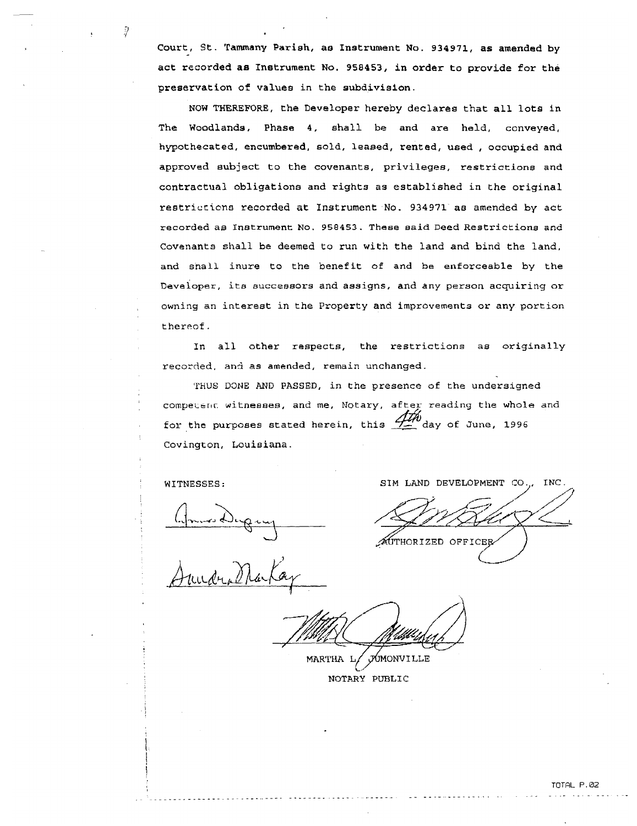Court, St. Tammany Pariah, **a8** Instrument No. 934971, **as** amended **by**  act recorded **as** Instrument No. 958453, in order to provide for the preservation of values in the subdivision.

NOW THEREFORE, the Developer hereby declares that all lots in The Woodlands, Phase 4, shall be and are held, conveyed, hypothecated, encumbered, sold, leased, rented, used , occupied and approved subject to the covenants, privileges, restrictions and contractual obligations and rights as established in the original restriccicns recorded at Instrument No. 934971 **a8** amended by act recorded as Inetrurnent No. 958453. These said Deed Restrictions and Covenants shall be deemed **ta** run with the land and bind the land, and snall inure to the benefit of and be enforceable by the Developer, its successors and assigns, and any person acquiring or owning an interest in the Property and improvements or any portion thereof.

In all other respects, the restrictions **as** originally recorded, and as amended, remain unchanged.

THUS DONE AND PASSED, in the presence of the undersigned competent witnesses, and me, Notary, after reading the whole and for the purposes stated herein, this  $\overrightarrow{HM}$  day of June, 1996 Covington, Louisiana.

ÿ

: **WITNESSES** : **SIM** LAND DEVELOPMENT CO.,, INC

AUTHORIZED OFFICER

MARTHA L/ JUMONVILLE **NOTARY PUBLIC**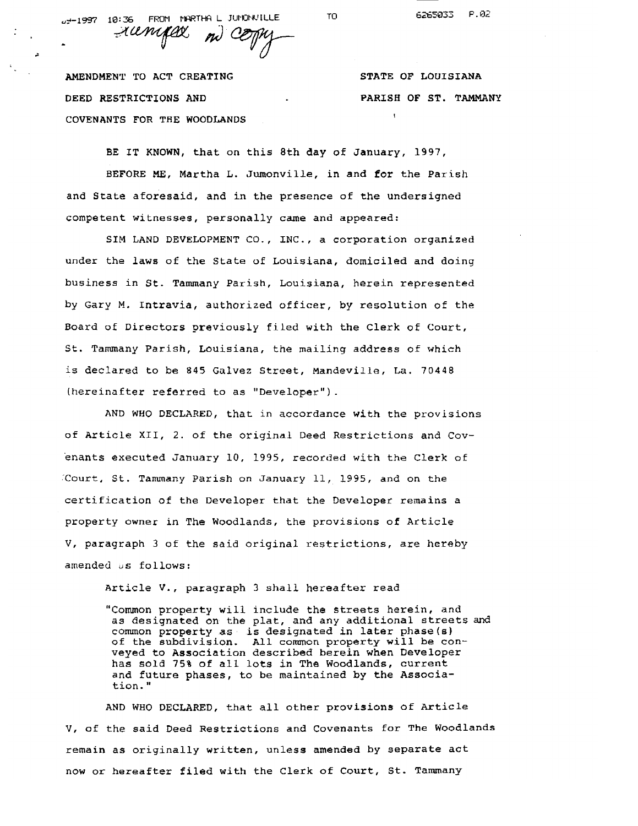36: 10 1997-ين

TO<sub>1</sub>

FROM MARTHAL JUNONVILLE rampex  $n\ell$ 

**AMENDMENT TO ACT CREATING DEED RESTRICTIONS** AND COVENANTS FOR THE WOODLANDS **<sup>I</sup>** **STATE OF LOUISIANA PARISH OF ST. TAMMANY** 

BE IT KNOWN, that on this 8th day of January, 1997, **BEFORE** ME, Martha L. Jumonville, in and for the Parish **and** State aforesaid, and in the presence of **the** undersigned competent witnesses, personally **came** and **appeared:** 

**SIM LAND** DEVELOPMENT CO., INC., a corporation organized **under** the **laws** of the State of Louisiana, domiciled and doing business in **St. Tammany** Parish, Louisiana, herein represented by Gary **M. Intravia, authorized officer, by** resolution of the Board of Directors previously filed with the clerk of Court, **St. Tammany** Parish, Louisiana, the mailing address of which is declared to be 845 Galvez Street, Mandeville, La. 70448 (hereinafter referred to as "Developer") .

AND WHO DECLARED, **that** in accordance **with** the provisions of Article **XII,** 2. of the original Deed Restrictions **and** Covenants executed January 10, 1995, recorded with the Clerk of .'Court, St. Tarnmany Parish on January 11, 1995, and on the certification of the Developer that the Developer remains a property owner in **The** Woodlands, the provisions of Article V, paragraph **3** of the said original restrictions, are **hereby**  amended us follows:

Article V., paragraph 3 shall hereafter read

"Common property will include the streets **herein,** and as designated on the plat, and any additional streets **and**  common property **as** is designated in later phase(s) of the subdivision. All **common** property will be conveyed to Association **described** berein **when** Developer has sold 75% of all lots in The Woodlands, current **and** future **phases,** to be maintained by the Associa**tion."** 

AND WHO DECLARED, that all other provisions of Article **V, of** the said Deed Restrictions and Covenants **for** The Woodlands **remain** as originally written, unless **amended** by separate act now or hereafter filed **with** the Clerk of Court, St. **Tammany**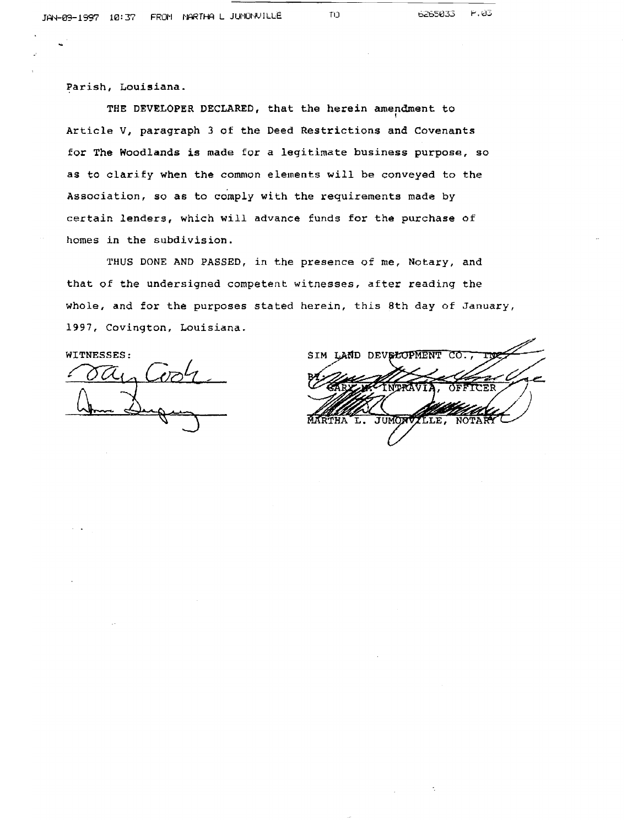**Parish, Louisiana.** 

THE DEVELOPER DECLARED, that the herein amendment to **Article V, paragraph 3** of **the Deed Restrictions and Covenants for The Woodlands is made for** *a* **legitimate business purpose, so as to clarify when the common elements will be conveyed to the**  Association, so as to comply with the requirements made by **certain lenders, which will advance funds for the purchase of homes in the subdivision.** 

**THUS DONE AND PASSED, in the presence of me, Notary, and that of the undersigned competent witnesses, after reading the whole, and for the purposes stated herein, this 8th day of January, 1997, Covington, Louisiana.** 

**WITNESSES:** 

SIM LAND DEVELOPMENT JUMONV TLE. NOTA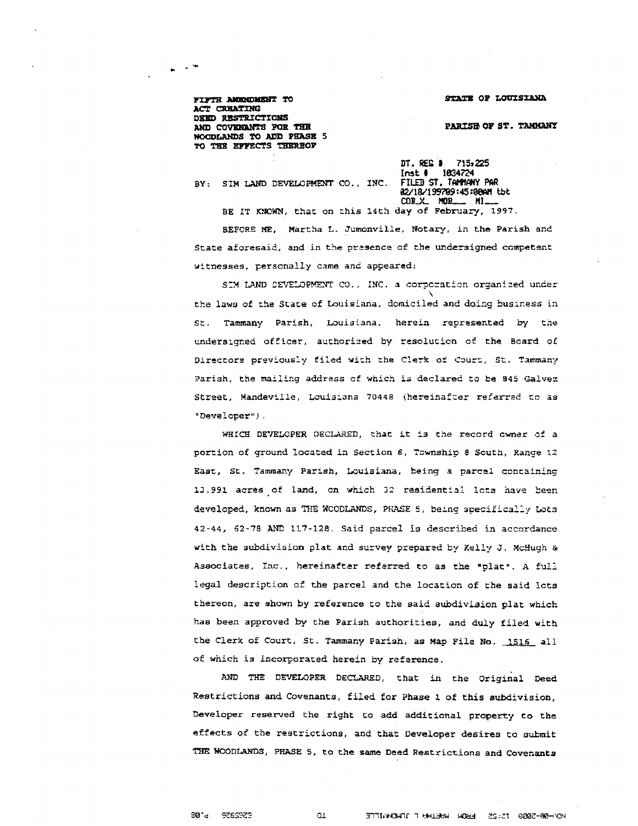STATE OF LOUISIANA

PARISH OF ST. TAMMANY

FIFTH AMENDMENT TO ACT CREATING DEED RESTRICTIONS AND COVENANTS FOR THE WOODLANDS TO ADD PHASE 5 TO THE EFFECTS THEREOF

 $\sim$   $^{\prime\prime}$ 

**finst \$1 1034724<br>{nst \$1034724<br>FILED ST. TANNANY PAR WlWl997@9:45:@Wl tbt COB\_X\_ MOB\_\_\_ MI\_** 

BY: SIM LAND DEVELOPMENT CO., INC.

**BE IT KXOWN, that** on **:his** 14th **day** of **Pebruarf, 1997. BEFCRE** ME, **Martha L.** Jumonville, Notary, in **the Parish and**  State **aforesaid,** and in **the przsence** of the **undersigned** ccmpetezzt witnesses, personally came and appeared:

SIM LAND CEVELOPMENT CO., INC. a corporation organized under **the laws of che State** of **Louisiana. domiciled and doing business** in **St. Tarnmany Parish, Louisiana.** herein represented **by** tile mdersrqr.ed **oficer,** authorized by **resolution** or' **the Bcard of**  Dlreccors previously **filed wick the Clerk o= C~UX, St. Tammany**  Parish, the mailing address of which is declared to be 845 Galvez **Street,** Mandeville, **Louisl~na** 70448 (herellafax **referrad** co **zs**  "Developer") .

WHIC3 **DE'JEMPER** DECLARED, **?:?at** it **Ls the** record cnnar of a por:ion of **ground** located **in** Section 6, Township 8 Scuth, **Range** 12 **East,** St. **Tammany Parish,** Louisiana, being a parcel **csncalninc**  13.991 acres of land, on which 32 residential lots have been developed, **known** as TEE **WCODLANEC, PRASE 5,** bexg **specifically** *LaLs*  **42-44, 62-78 AM) 117-128. Said parcel is** described **in accordance**  with the subdivision plat and survey prepared by Kelly J. McHugh & aeociatea, Inc., **hereinafter ref** srred **to** as **the** 'platu. **A** full legal description **of** the **parcel** and the location of the **said** lcts thereon, are shown by reference **to** the **said** subdivision plat which **has** been approved by **the Pariah authorities,** and **duly** filed **with**  the Clerk of Court, **St. Tammany** Parish, as Map File **No. 1516 all**  of which is incorporated herein by reference.

**AND** THE DEVELOPER DECLARED, that in **the** Original **Deed**  Restrictions **and** Covenants, **filed for** Phase 1 of this subdivision, Developer **reserved the** right to add additional property to **the effects** of the restrictions, and that Developer desires to **submit**  Z'HE WOODLANDS, **PHASE 5, to the same Deed Restrictions** and Covenants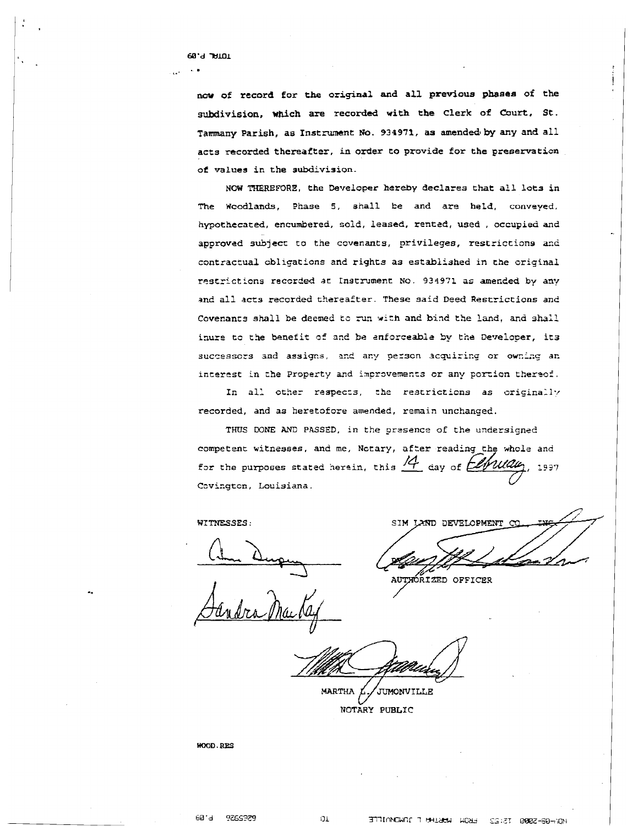**68.d WlOl** 

. **I.'** 

**naw of record for the original and all previous phases of the subdivision, which are recorded with the clerk of Court, St. Tammany Parish, as Instrument No. 934971, as amended by any and all acts recorded thereafter, in order to provide for the preservation of values in the subdivision.** 

**NCW TIIEREFORE, the Developer hereby declares that all lots in The Wcodlands, Phase 5, ahall be and are held, convoyed. hypothecated, encumbered, sold, leased, rentcd, used** , **occupied and**  approved subject to the covenants, privileges, restrictions and contractual obligations and rights as established in the original **restricticns recsrded at:** Instrument No. **93.!?31 as amended by arp**  and **all acts recorded thereafter. These said Deed Restrictions and**  Covenants shall be deemed to run with and bind the land, and shall **inure tc the benefit** af **and be anforceable by ti;& Developer, it3 succossozs and assicps,** 2r.e **aqr** pezscn **acqxirir.g or** ow.izq ar. **interest in the Property and improvements or any portion thereof.** 

In all other respects, the restrictions as originally **recorded, and as heretofore amended, remain unchanged.** 

THUS DONE AND PASSED, in the presence of the undersigned competmt **witnesses, and me, Nccary, after reading the whole and**  for the purposes stated herein, this  $\frac{14}{1}$  day of  $\frac{10}{100}$ , 1997 **Czvizgtcn, Louisiana.** 

**WITNESSES** :

SIM LAND DEVELOPMENT

**ATEXZED OFFICER** 

MARTHA  $L$  / JUMONVILLE

**NOTARY PUBLIC** 

**WOOD, RES**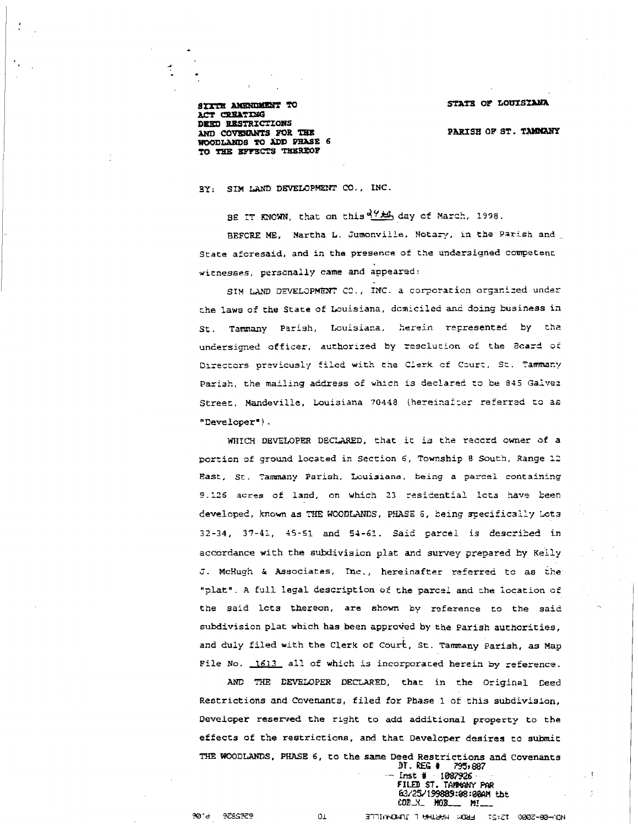### STATE OF LOUISIANA

**PARISH OF ST. TAMMANY** 

SIXTH AMENDMENT TO ACT CREATING DEED RESTRICTIONS AND COVENANTS FOR THE WOODLANDS TO ADD PHASE 6 TO THE EFFECTS THEREOF

## **3Y: SIM** LAND **DEVELOPMENT CO.** , **INC** .

**BE TT** KNOWN, **that on this** 4% **day cf** Narch, **1998.** 

**BEFCRE ME, Martha L. Zumonville, Notary, in the parish acd State afcresaid, and in the prssence of the undersigned competenL witnesses,** personally **came and** appearad:

SIM LAND DEVELOPMENT CO., INC. a corporation organized under **the laws of the State of** Louisiana, **dcniclled** and **doing business** in St. Tammany Parish, Louisiana, herein represented by the undersigned officer, authorized by resolution of the Board of **Dlreccors przvicusly filed wlth the CLerk cf** Czurt, **SC.** Tamma~y **Parish, the nailing address of which is declared :B be 845** Galvez Street, Mandeville, Louisiana 70448 (hereinafter referred to as "Developer").

**WHICH DEVELOPER** DECTXRED, that **it is the raccrd cwner of a porticn of** groaqd **located in Section 6, Township 8 South, Range 12 East, St.** Tanmny **Parish, Lcuisaana. being a** pareei **containing 3.125 acras of land, an which 23** rasidential **let3 have keen beveloped, known** as THE **WCODLANDS, P.XXSi2 5, being** .qeciflcall;r kt3 **32-34, 37-41, 45-5i and 51-61. Said** parcel **is described in accordance with the subdivision plat and survey prepared 5y** Kelly **Z- McHugh h Aseociates, Inc., hereinafter referred to as the ";latg** . **A** full **legal description of the parcol and** cha **location of the said lcts thereon, are shown by reference to the said subdivision plat which has** been **approied by the Parish authorities, and duly filed with the Clerk of court, St.** Tamany **Parish, as Map**  File No. 1613 all of which is incorporated herein by reference.

AND THE DEVELOPER DECLARED, that in the Original Deed **Restrictions and Covenants, filed for Phase 1 of this subdivision, Developer resenred the right to add additional** property **to the effects of the restrictions, and that Develcper desires to submic**  TIIE **WOODLANDS, PHASE 6, to the same Deed Restrictions and Covenants** 

**DT. MG** # **295r8B7** -. **lmt** # **<sup>1087926</sup> FILED ST. TANKANY PAR ELIRE ST. HERRHAN FAR**<br> **ELIRE 199889:08:00m tht**<br>
COLY **HOLSIRE MILL**<br> **ELIRE THERRE WORKER TO ANDER-90-NON CDLL PI!--** 

 $01$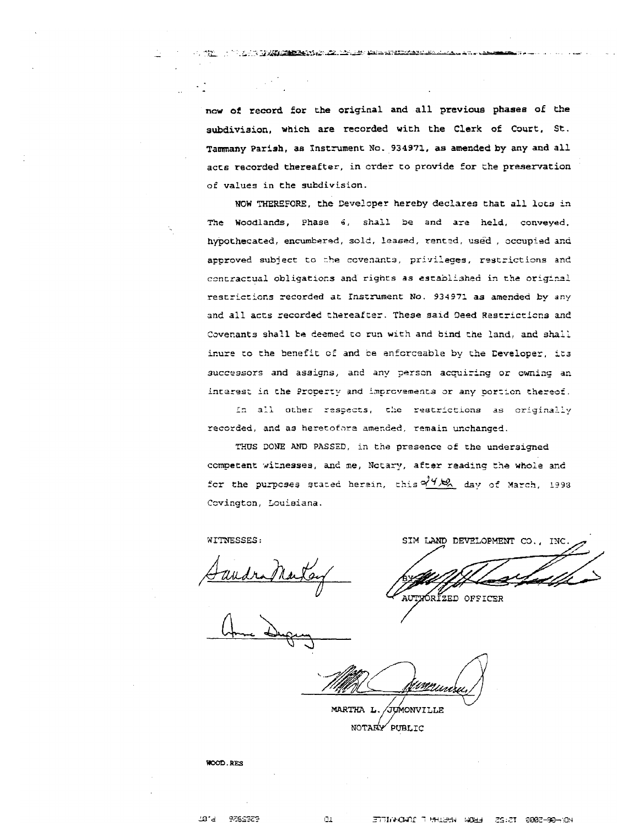**now of record for the original and all previous phase6 of the subdivision, which are recorded with the Clerk of Court, St. Tammany Parish, as Instrument No. 934971, aa amended by any and all acts recorded thereafter, in crder to provide for the preserration of values in the subdivision.** 

**TAGO TELEVISION DE LA PERSONA DE LA PERSONA DE LA PERSONA DE LA PERSONA DE LA PERSONA DE LA PERSONA DE LA PERSONA DE** 

**NOW THERCFORE, the Ceveloper hereby declares that all lots in me Woodlane, Phase** *6,* **shall be and ar+ held, conveyed. hypothecated, encumberad, sold, leased,** rantzd, **used** , **sccupisd** and approved subject to the covenants, privileges, restrictions and contractual obligations and rights as established in the original **restrictions recorded at** Insc-nrnent **No. 934971 as amended by** any **and all acts recorded thereafter. These sald geed Restricticcs and**  Covenants shall be deemed to run with and bind the land, and shall icure **to tha benefit** cf **and be enfcrceable by the Ceveioper, it3**   $succ$  successors and assigns, and any person acquiring or owning an **ixrezsr;** in **the Propezzy md** inprcvernencs **or** any porcicn theresf.

In all other respects, the restrictions as originally **recorded, and as heretofarz amenzed, remain unchanged.** 

**TXJS** DONE **AND PASSED, in the presence of the undersigned ccmuetent vitriesses, and** ne, **Yctary, after readlnq** the **wtzde md**  for the purposes stated herein, this  $\frac{\partial^2 f}{\partial x^2}$  day of March, 1993 **Csvington,** Louieiana.

**WITNESSES** :

SIM LAND DEVELOPMENT CO., INC.

AUTYORIZED OFFICER

/Jumonville MARTHA L. NOTARY PUBLIC

**WOOD, RES**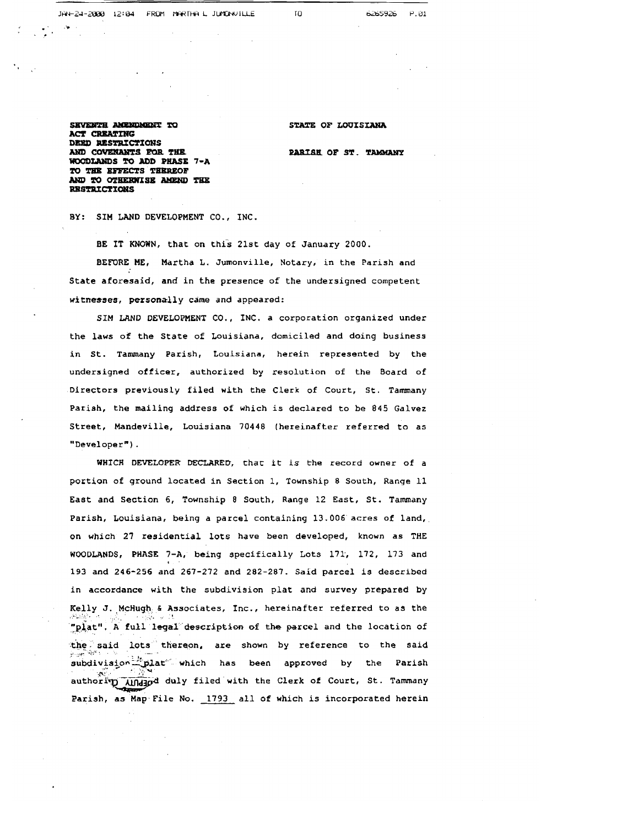SEVENTH AMENDMENT TO **ACT CREATING** DEED RESTRICTIONS AND COVENANTS FOR THE WOODLANDS TO ADD PHASE 7-A TO THE EFFECTS THEREOF AND TO OTHERWISE AMEND THE **RESTRICTIONS** 

**STATE OF LOUISIANA** 

**PARISH OF ST. TAMMANY** 

BY: **SIM** LAND DEVELOPMENT CO., INC.

BE IT KNOWN, that on this 21st day of January 2000.

**BEPORE** HE, Martha L. Jumonville, Notary, in the Parish and State aforesaid, **and** in the presence of the undersigned competent witnesses, personally came and appeared:

**SIM** LAND DEVELOPMENT CO., INC. a corporation organized under the laws of the State of Louisiana, domiciled and doing business in St. Tammany Parish, Louisiana, herein represented by the undersigned officer, authorized by resolution of the Board of Directors previously filed with the Clerk of Court, St. Tammany **Parish,** the mailing address of which is declared to be 845 Galvez Street, Mandeville, Louisiana 70448 (hereinafter referred to as "Developer") .

**WHICH DEVELOPER DECLARED,** that it **is** the record owner of a portion of ground located in Section 1, Township 8 South, Range 11 **East** and Section 6, Township **8** South, Range 12 East, St. Tammany Parish, Louisiana, being a parcel containing 13.006 acres of land, on which 27 residential **lots** have been developed, known as THE WOODLANDS, PHASE **7-A,** being specifically Lots 171, 172, 173 and 193 and 246-256 and 267-272 and 282-287. Said parcel is described in accordance with the subdivision plat and survey prepared by Kelly J.,McHugh **6** Associates, Inc., hereinafter referred to **as** the ., . . . . , . **<sup>6</sup>** '~~iat". **A** full legal **&scription of** the parcel and the location of the said lots thereon, are shown by reference to the said subdivision<sup>12</sup>plat" which has been approved by the Parish  $\mathcal{N} = \frac{1}{2}$ Welly J. McHugh & Associates, Inc., hereinafter referred to as the<br>"plat". A full legal description of the parcel and the location of<br>the said lots thereon, are shown by reference to the said<br>subdivision which has been app Parish, as Map File No. 1793 all of which is incorporated herein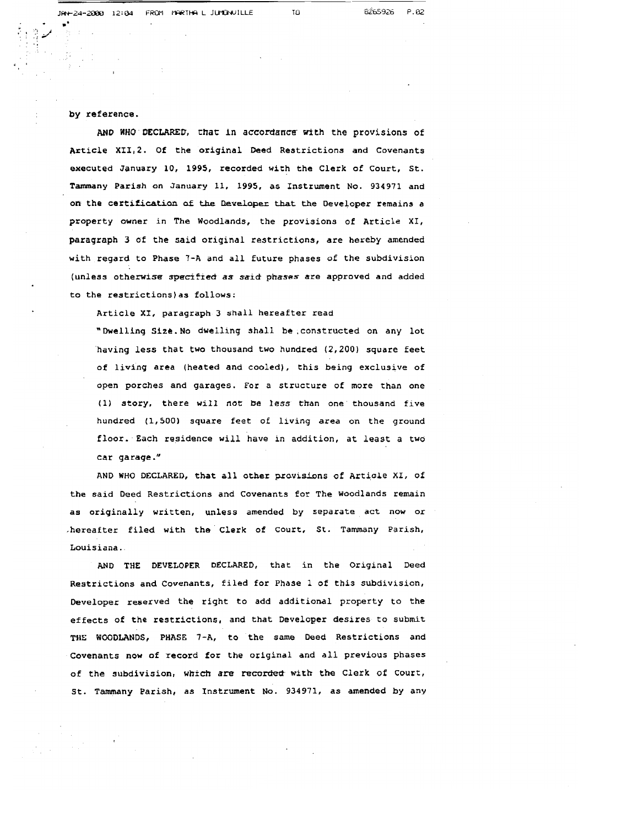### **by reference.**

**AND WHO DECLARED, that in accordance with the provisions of Article XI112. Of the original Deed Restrictions and Covenants executed January 10, 1995, recorded with the Clerk of Court, St. Tanunany Parish on January 11, 1995, as Instrument No. 934971 and on. the certification** a£ **the kudoper that the Developer remains a property owner in The Woodlands, the provisions of Article XI, paragraph 3 of the said oriqinal restrictions, are hereby amended with regard to Phase 7-A and all future phases of the subdivision (unless otherwise speciffed as said ptrases are approved and added to the restrictions)as follows:** 

**Article XI, paragraph 3 shall hereafter read** 

**"Dwelling Site. No dwelling shall be ,constructed on any lot 'having less that two thousand two hundred (2,200) square feet of living area (heated and cooled), this being exclusive of open porches and garages. For a structure of more than one (1) story, there will not be less than one thousand five hundred (1,500) square feet of living area on the ground floor. Each residence will have in addition, at least a two**  car garage."

**AND WHO DECLARED, that all other pzauisions of Article XI, of the said Deed Restrictions and Covenants for The Woodlands remain as originally written, unless amended by separate act now or ,hereafter filed with the Clerk of Court, St. Tammany Parish, Louisiana.** 

**AND THE DEVELOPER DECLARED, that in the Original Deed**  Restrictions and Covenants, filed for Phase 1 of this subdivision, **Developer reserved the right to add additional property to the**  effects of the restrictions, and that Developer desires to submit **THE WOODLANDS, PHASE 7-A, to the same Deed Restrictions and Covenants now of record for the original and all previous phases**  of the subdivision, which are recorded with the Clerk of Court, **St. Tamany Parish, as Instrument No. 934971, as amended by any**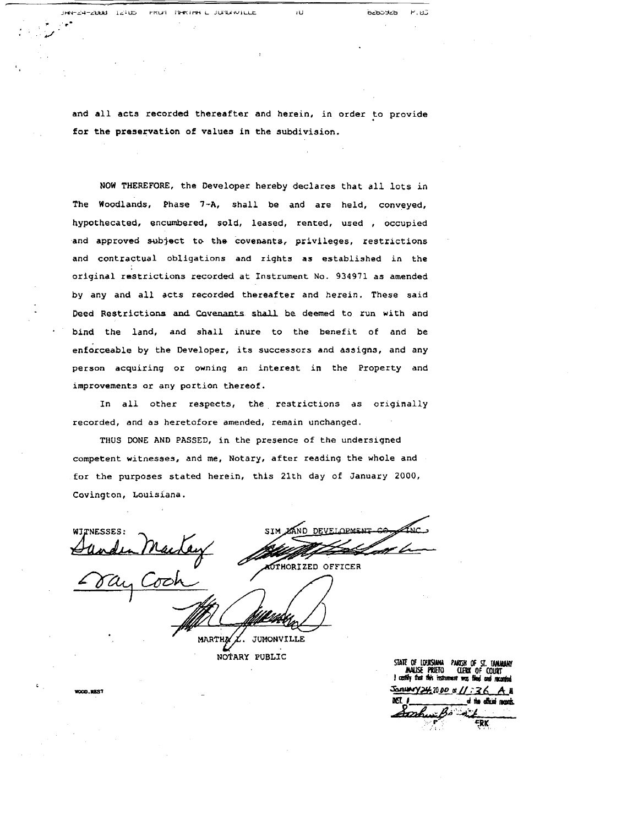and all acts recorded thereafter and herein, in order to provide for the preservation of values in the subdivision.

ïU

**BZbDYZb** 

 $P.11$ 

FROM PERTHE L JUNEAUTLLE

 $JEN = 24 - 20004 - 12405$ 

**NOW** THEREFORE, the Developer hereby declares that all lots in The Woodlands, Phase **7-A,** shall be and are held, conveyed, hypothecated, encumbered, sold, leased, rented, used , occupied and approved subject to the **covenants,** privileges, restrictions and contractual obligations and rights as established in the original restrictions recorded at Instrument No. 934971 as amended by any and all acts recorded thereafter and herein. These said Deed Restrictions and Covenants shall be deemed to run with and bind the land, and shall inure to the benefit of and be enforceable by the Developer, its successors and assigns, and any person acquiring or owning an interest in the Property and improvements or any portion thereof.

In all other respects, the restrictions as originally recorded, and **as** heretofore amended, remain unchanged.

THUS DONE AND PASSED, in the presence of the undersigned competent witnesses, and me, Notary, after reading the whole and for the purposes stated herein, this 21th day of January 2000, Covington, Louisiana.

WITNESSES **AUTHORIZED OFFICER** 

MARTHA JUMONVILLE NOTARY PUBLIC

STATE OF LOUISIANA PARTSH OF ST. TAMARANY January 24, 2000 of 11:36 cer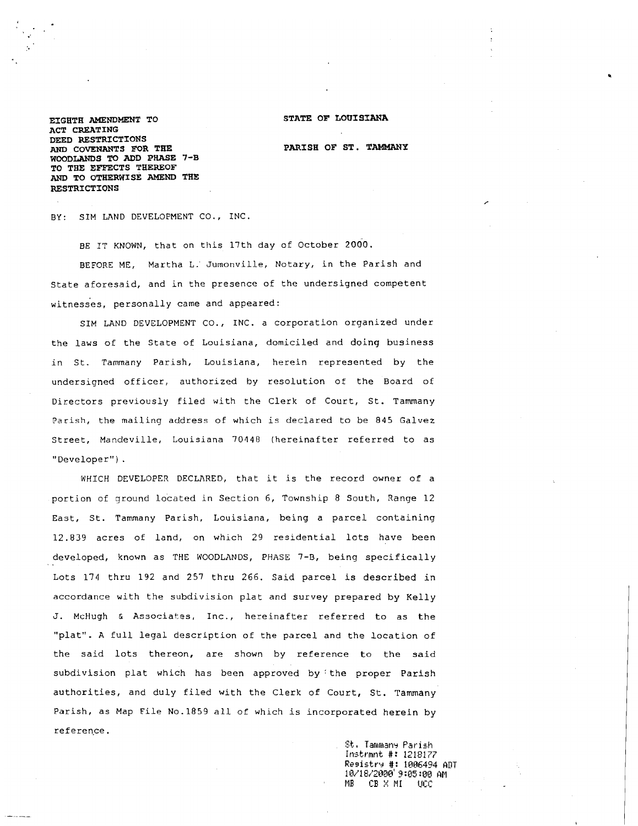**EIGHTH AMENDMENT TO ACT CREATING DEED RESTRICTIONS AND COVENANTS FOR THE WOODLANDS TO ADD PHASE 7-B TO THE EFFECTS THEREOF AND TO OTHERWISE AMEND THE RESTRICTIONS** 

**STATE OF LOUISIANA** 

**PAR1 SH OF ST** . **TAMMANY** 

BY: SIM LAND DEVELOPMENT CO., INC.

BE IT KNOWN, that on this 17th day of October 2000.

BEFORE ME, Martha L.' Jumonville, Notary, in the Parish and State aforesaid, and in the presence of the undersigned competent witnesses, personally came and appeared:

SIM LAND DEVELOPMENT CO., INC. a corporation organized under the laws of the State of Louisiana, domiciled and doing business in St. Tammany Parish, Louisiana, herein represented by the undersigned officer, authorized by resolution of the Board of Directors previously filed with the Clerk of Court, St. Tammany Parish, the mailing address of which is declared to be 845 Galvez Street, Mandeville, Louisiana 70440 (hereinafter referred to as "Developer") .

WHICH DEVELOPER DECLARED, that it is the record owner of a portion of ground located in Section 6, Township 8 South, Range 12 East, St. Tammany Parish, Louisiana, being a parcel containing 12.839 acres of land, on which 29 residential lots have been developed, known as THE WOODLANDS, PHASE 7-B, being specifically Lots 174 thru 192 and 257 thru 266. Said parcel is described in accordance with the subdivision plat and survey prepared by Kelly J. McHugh **L** Associates, Inc., hereinafter referred to as the "plat". A full legal description of the parcel and the location of the said lots thereon, are shown by reference to the said subdivision plat which has been approved by :the proper Parish authorities, and duly filed with the Clerk of Court, St. Tammany Parish, as Map File No.1859 all of which is incorporated herein by reference.<br>- St. Tammany Parish

St. Tammany Parish<br>Instrmnt #: 1218177 **Resistrr** #: 1086494 ADT 10~8,~28ncl' **CI :05** :013 **AM**  MB **CP** X **MI** UZC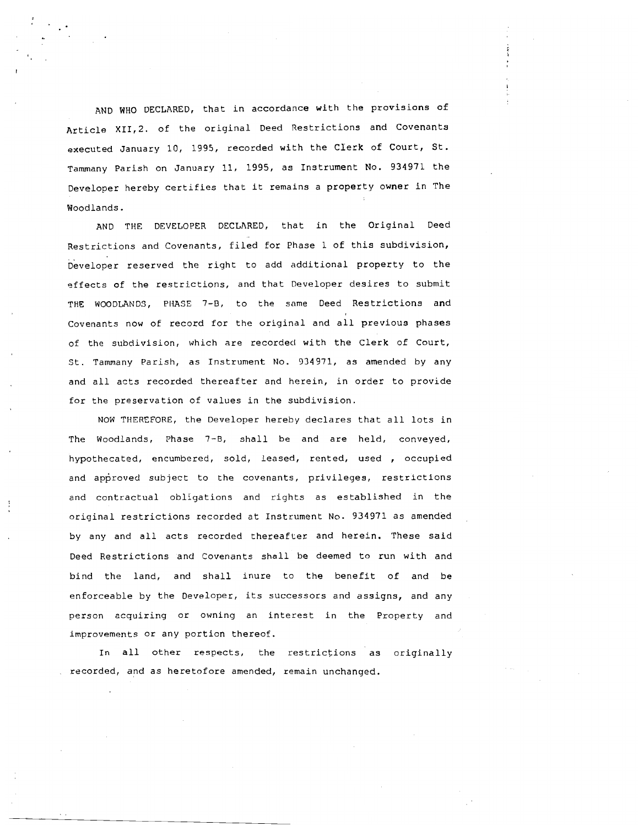AND WHO DECLARED, that in accordance with the provisions of Article XII,2. of the original Deed Restrictions and Covenants executed January 10, 1995, recorded with the Clerk of Court, St. Tammany Parish on January 11, 1995, as Instrument No. 934971 the Developer hereby certifies that it remains a property owner in The Woodlands.

AND THE DEVELOPER DECLARED, that in the Original Deed Restrictions and Covenants, filed for Phase 1 of this subdivision, Developer reserved the right to add additional property to the effects of the restrictions, and that Developer desires to submit THE WOODLANDS, PHASE 7-8, to the same Deed Restrictions and Covenants now of record for the original and all previous phases of the subdivision, which are recorded with the Clerk of Court, St. Tammany Parish, as Instrument No. 934971, as amended by any and all acts recorded thereafter and herein, in order to provide for the preservation of values in the subdivision.

NOW THEREFORE, the Developer hereby declares that all lots in The Woodlands, Phase 7-8, shall be and are held, conveyed, hypothecated, encumbered, sold, leased, rented, used , occupied and approved subject to the covenants, privileges, restrictions and contractual obligations and rights as established in the original restrictions recorded at Instrument No. 934971 as amended by any and all acts recorded thereafter and herein. These said Deed Restrictions and Covenants shall be deemed to run with and bind the land, and shall inure to the benefit of and be enforceable by the Developer, its successors and assigns, and any person acquiring or owning an interest in the Property and improvements or any portion thereof.

In all other respects, the restrictions as originally recorded, and as heretofore amended, remain unchanged.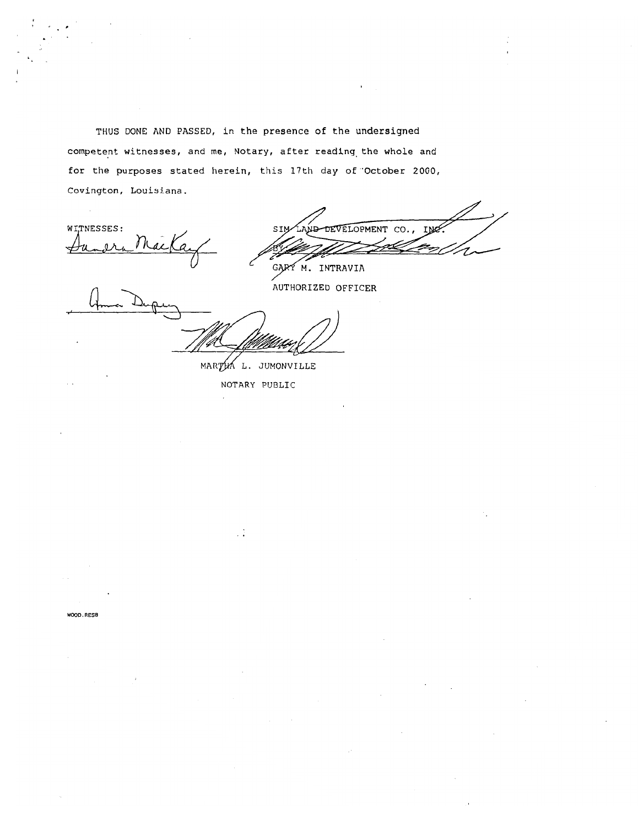**THUS DONE AND PASSED, in the presence of the undersigned competent witnesses, and me, Notary, after reading,the whole and for the purposes stated herein, this 17th day of 'October 2000, Covington, Louisiana.** 

WITNESSES:

DEVELOPMENT CO., IM

GARY M. INTRAVIA **AUTHORIZED OFFICER** 

**MARTH L. JUMONVILLE** 

**NOTARY PUBLIC** 

**WOOD, RES8**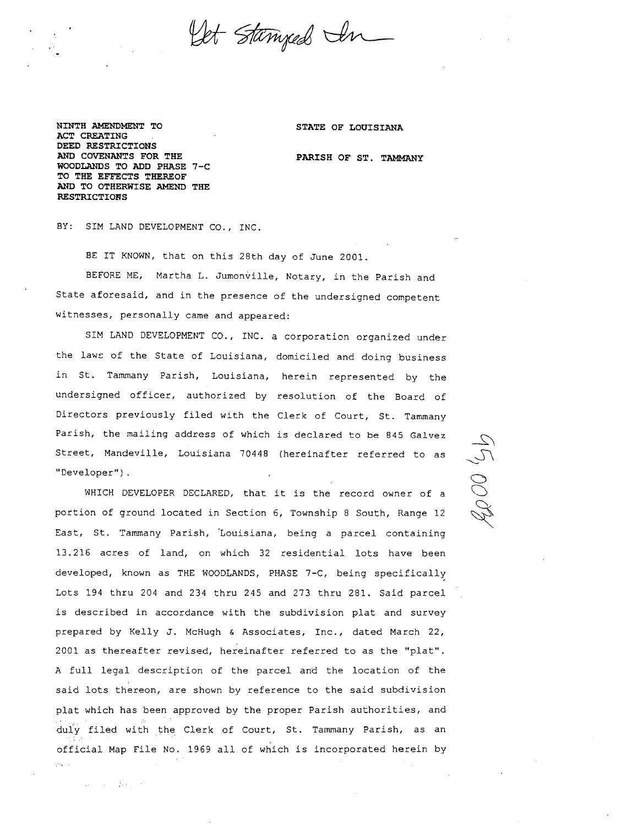

 $\sim \sqrt{1+z}$ 

Samuel State Co.

Let Stanyed In

**NINTH AMENDMENT TO ACT CREATING DEED RESTRICTIONS AND COVENANTS FOR THE WOODLANDS TO ADD PHASE 7-C TO THE EFFECTS THEREOF AND TO OTHERWISE AMEND THE RESTRICTIONS** 

**STATE OF LOUISIANA** 

**PARISH OF ST. TAMMANY** 

 $\mathcal{L}$ 

BY: SIM LAND DEVELOPMENT CO., INC.

BE IT KNOWN, that on this 28th day of June 2001.

BEFORE ME, Martha L. Jumonville, Notary, in the Parish and State aforesaid, and in the presence of the undersigned competent witnesses, personally came and appeared:

SIM LAND DEVELOPMENT CO., INC. a corporation organized under the laws of the State of Louisiana, domiciled and doing business in St. Tammany Parish, Louisiana, herein represented by the undersigned officer, authorized by resolution of the Board of Directors previously filed with the Clerk of Court, St. Tammany Parish, the mailing address of which is declared to be 845 Galvez  $\sum_{i=1}^{n}$ 

Street, Mandeville, Louisiana 70448 (hereinafter referred to as<br>
"Developer").<br>
WHICH DEVELOPER DECLARED, that it is the record owner of a<br>
portion of ground located in Section 6, Township 8 South, Range 12 WHICH DEVELOPER DECLARED, that it is the record owner of a portion of ground located in Section 6, Township 8 South, Range 12 East, St. Tammany Parish, 'Louisiana, being a parcel containing 13.216 acres of land, on which 32 residential lots have been developed, known as THE WOODLANDS, PHASE 7-C, being specifically Lots 194 thru 204 and 234 thru 245 and 273 thru 281. Said parcel is described in accordance with the subdivision plat and survey prepared by Kelly J. McHugh & Associates, Inc., dated March 22, 2001 as thereafter revised, hereinafter referred to as the "plat". A full legal description of the parcel and the location of the said lots thereon, are shown by reference to the said subdivision plat which has been approved by the proper Parish authorities, and duly filed with the Clerk of Court, St. Tammany Parish, as an official Map File No. 1969 all of which is incorporated herein by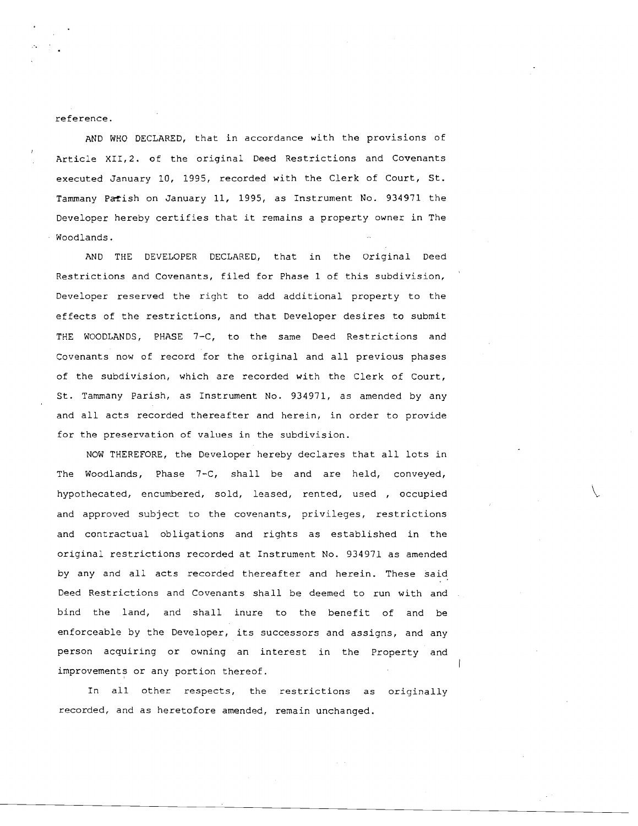reference.

**1** 

AND WHO DECLARED, that in accordance with the provisions of Article XII,2. of the original Deed Restrictions and Covenants executed January 10, 1995, recorded with the Clerk of Court, St. Tammany Patish on January 11, 1995, as Instrument No. 934971 the Developer hereby certifies that it remains a property owner in The Woodlands.

AND THE DEVELOPER DECLARED., that in the Original Deed Restrictions and Covenants, filed for Phase 1 of this subdivision, ' Developer reserved the right to add additional property to the effects of the restrictions, and that Developer desires to submit THE WOODLANDS, PHASE 7-C, to the same Deed Restrictions and Covenants now of record for the original and all previous phases of the subdivision, which are recorded with the Clerk of Court, St. Tamrnany Parish, as Instrument No. 934971, as amended by any and all acts recorded thereafter and herein, in order to provide for the preservation of values in the subdivision.

NOW THEREFORE, the Developer hereby declares that all lots in The Woodlands, Phase 7-C, shall be and are held, conveyed, hypothecated, encumbered, sold, leased, rented, used , occupied and approved subject to the covenants, privileges, restrictions and contractual obligations and rights as established in the original restrictions recorded at Instrument No. 934971 as amended by any and all acts recorded thereafter and herein. These said Deed Restrictions and Covenants shall be deemed to run with and bind the land, and shall inure to the benefit of and be enforceable by the Developer, its successors and assigns, and any person acquiring or owning an interest in the Property and improvements or any portion thereof.

In all other respects, the restrictions as originally recorded, and as heretofore amended, remain unchanged.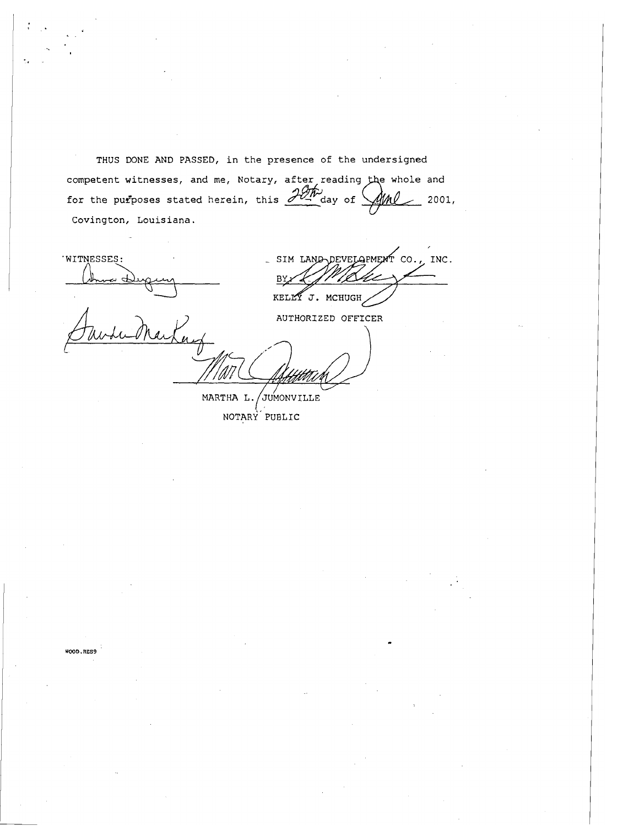**THUS DONE AND PASSED, in the presence of the undersigned**  competent witnesses, and me, Notary, after reading the whole and for the purposes stated herein, this  $\frac{\partial \mathcal{W}}{\partial n}$  day of  $\mathcal{W}$  2001, **Covington, Louisiana.** 

**'WITNESSES:**   $\mathcal{A}_-$ 

SIM LAND DEVELOPMENT CO., INC. ВY KELLY J. MCHUGH

AUTHORIZED OFFICER

MARTHA L. JUMONVILLE

NOTARY PUBLIC

WOOD, RES9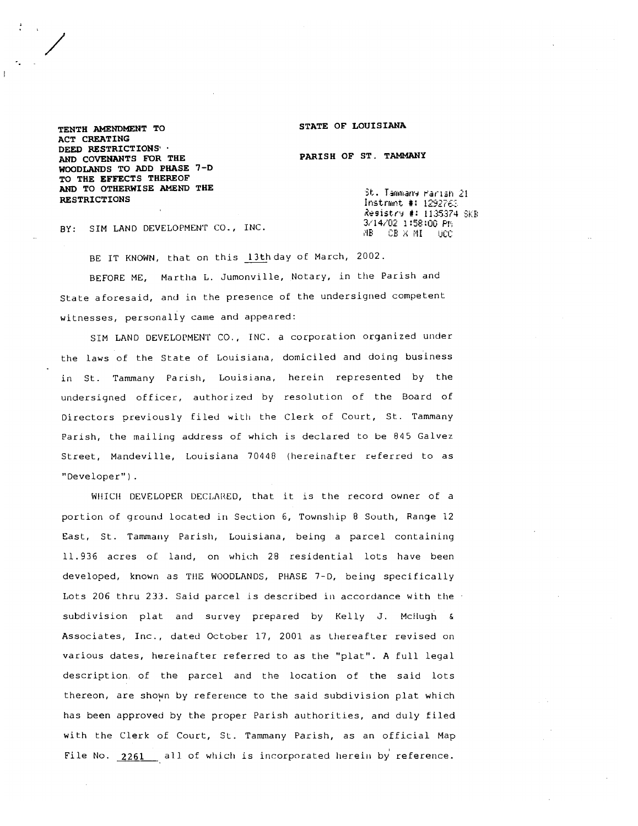### **STATE OF LOUISIANA**

**PARISH OF ST. TAMMANY** 

**TENTH AMENDMENT TO ACT CREATING DEED RESTRICTIONS' AND COVENANTS FOR THE WOODLANDS TO ADD PHASE 7-D TO THE EFFECTS THEREOF AND TO OTHERWISE AMEND THE RESTRICTIONS** 

St. Tammany Parish 21 Instrmnt #: 1292763 Resistry #: 1135374 SKB 3/14/02 1:58:00 PM  $AB = CB \times ML = UC$ 

BY: SIM LAND DEVELOPMENT CO., INC

BE IT KNOWN, that on this 13th day of March, 2002.

BEFORE ME, Martlla L. Jumonville, Notary, in the Parish and State aforesaid, and in the presence of the undersigned competent witnesses, personally came and appeared:

SIM LAND DEVELOPMEN'I' CO., TNC. a corporation organized under the laws of the State of Louisiana, domiciled and doing business in St. Tammany Parish, Louisiana, herein represented by the undersigned officer, authorized by resolution of the Board of )irectors previously filed with the Clerk of Court, St. Tammany Parish, the mailing address of which is declared to be 845 Galvez Street, Mandeville, Louisiana 70440 (hereinafter referred to as "Developer").

WHICH DEVELOPER DECLARED, that it is the record owner of a portion of ground located in SecLion 6, Township 8 South, Range 12 East, St. Tammany Parish, Louisiana, being a parcel containing 11.936 acres 01 land, on which 28 residential lots have been developed, known as TfIE WOODLANDS, PHASE 7-D, being specifically Lots 206 thru 233. Said parcel is described in accordance with the subdivision plat and survey prepared by Kelly J. Mctlugh **<sup>h</sup>** Associates, Inc., dated October 17, 2001 as Lhereafter revised on various dates, hereinafter referred to as the "plat". A full legal description, of the parcel and the location of the said lots thereon, are shown by reference to the said subdivision plat which has been approved by the proper Parish authorities, and duly filed with the Clerk of Court, SL. Tammany Parish, as an official Map File No. 2261 all of which is incorporated herein by reference.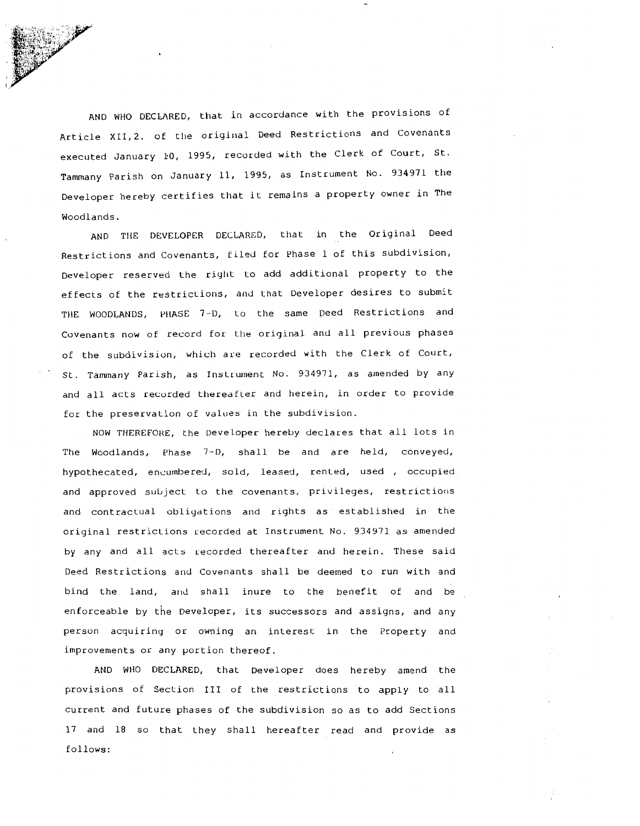AND WHO DECLARED, that in accordance with the provisions of Article XII, 2. of the original Deed Restrictions and Covenants executed January **10,** 1995, recorded with the Clerk of Court, St. Tammany Parish on January 11, 1995, as Instrument No. 934971 the Developer hereby certifies that it remains a property owner in The Woodlands.

AND TI1E DEVELOPER DECLARED, that in the Original Deed Restrictions and Covenants, filed for Phase 1 of this subdivision, Developer reserved the right to add additional property to the effects of the restrictions, and that Developer desires to submit THE WOODLANDS, PHASE 7-D, to the same Deed Restrictions and Covenants now of record for the original and all previous phases of the subdivision, which are recorded with the Clerk of Court, St. Tammany Parish, as Instrument No. 934971, as amended by any and all acts recorded thereafter and herein, in order to provide for the preservation of values in the subdivision.

NOW THEREFORE, the Developer hereby declares that all lots in The Woodlands, Phase 7-D, shall be and are held, conveyed, hypothecated, encumbered, sold, leased, rented, used , occupied and approved subject to the covenants, privileges, restrictions and contractual obligations and rights as established in the original restrictions recorded at Instrument No. 934971 as amended by any and all acts recorded thereafter and herein. These said Deed Restrictions and Covenants shall be deemed to run with and bind the land, and shall inure to the benefit of and be enforceable by the Developer, its successors and assigns, and any person acquiring or owning an interest in the Property and improvements or any portion thereof.

AND WHO DECLARED, that Developer does hereby amend the provisions of Section **I11** of the restrictions to apply to all current and future phases of the subdivision so as to add Sections 17 and 18 so that they shall hereafter read and provide as follows: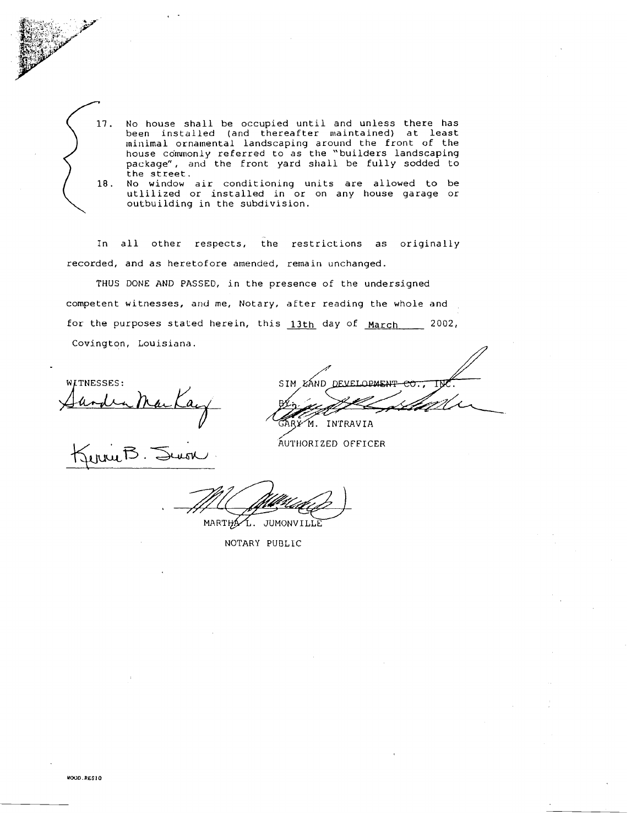

No house shall be occupied until and unless there has been installed (and thereafter maintained) at least <code>ninimal ornamental landscaping around the front of the </code> house commonly referred to as the "builders landscaping package", and the front yard shall be fully sodded to the street. 18. No window air conditioning units are allowed to be utlilized or installed in or on any house garage or

In all other respects, the restrictions as originally recorded, and as heretofore amended, remain unchanged

outbuilding in the subdivision.

THUS DONE AND **PASSED,** in the presence of the undersigned competent witnesses, and me, Notary, after reading the whole and for the purposes stated herein, this  $13th$  day of March 2002, Covington, Louisiana.

WITNESSES: ander Marka<br>Jerrie B. Sevon

SIM KAND DEVELOPMENT ARY M. INTRAVIA

**AUTHORIZED OFFICER** 

MARTHAL. JUMONVILLE

NOTARY PUBLlC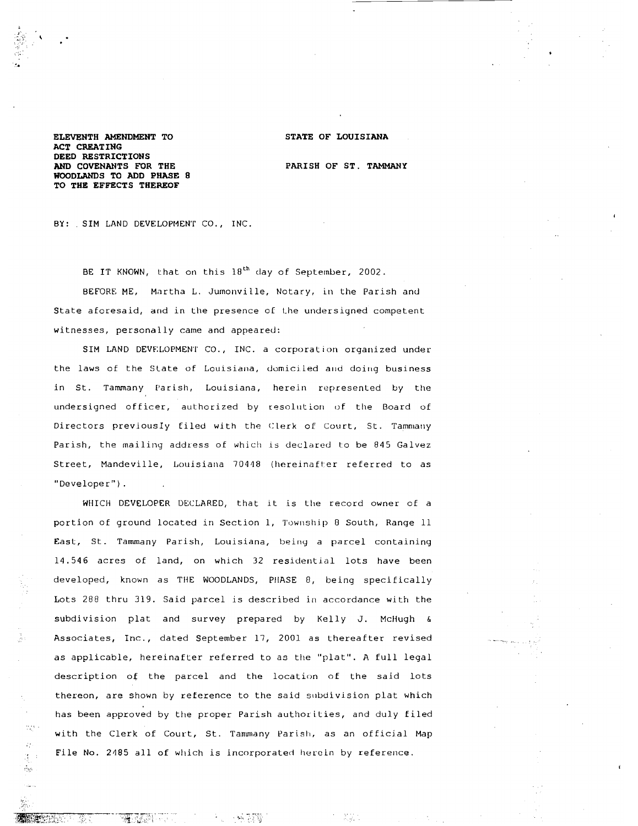## **STATE OF LOUISIANA**

**ELEVENTH AMENDMENT TO ACT CREATING DEED RESTRICTIONS AND COVENANTS FOR THE WOODLANDS TO ADD PHASE 8 TO THE EFFECTS THEREOF** 

 $\mathcal{L}_{\mathcal{A}_1}$  $\mathcal{L}^{\perp}_{\mathcal{C}}$  $\mathcal{X}^{\mathcal{A}}$  $\sigma_{\rm{SP}}$ 

-4.

K.,

**PARISH OF ST. TAMMANY** 

EQ.

BY: . SIM LAND DEVELOPMENT CO., INC.

BE IT KNOWN, that on this 18<sup>th</sup> day of September, 2002.

BEFORE ME, Martha L. Jumonville, Notary, in the Parish and State aforesaid, and in the presence of the undersigned competent witnesses, personally came and appeared:

SIM LAND DEVELOPMENT CO., INC. a corporation organized under the laws of the State of Louisiana, domiciled and doing business in St. Tammany Parish, Louisiana, herein represented by the undersigned officer, authorized by resolution of the Board of Directors previously filed with the Clerk of Court, St. Tammany Parish, the mailing address of which is declared to be 845 Galvez Street, Mandeville, Louisiana 70448 (hereinafter referred to as "Developer" ) .

WHICH DEVELOPER DECLARED, that it is tlre record owner of a portion of ground located in Section 1, Township 8 South, Range 11 East, St. Tammany Parish, Louisiana, being a parcel containing 14.546 acres of land, on which 32 residential lots have been developed, known as THE WOODLANDS, PllASE **0,** being specifically Lots 288 thru 319. Said parcel is described in accordance with the subdivision plat and survey prepared by Kelly J. McHugh & Associates, Inc., dated September 17, 2001 as Lhereafter revised as applicable, hereinafter referred to as the "plat". A full legal description of the parcel and the location of the said lots thereon, are shown by reference to the said subdivision plat which has been approved by the proper Parish authorities, and duly filed with the Clerk of Court, St. Tammany Parish, as an official Map File No. 2485 all of which is incorporated herein by reference.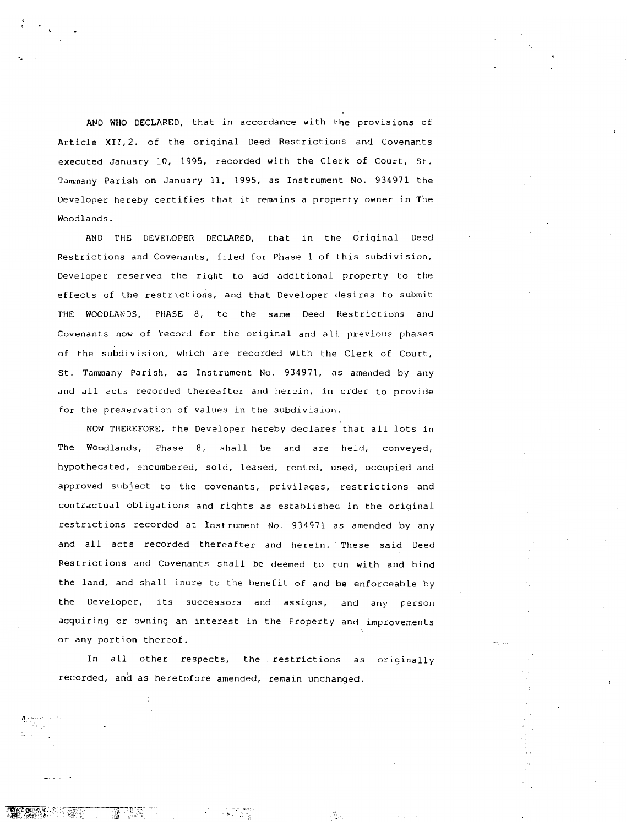AND WHO DECLARED, that in accordance with the provisions of Article XII,2. of the original Deed Restrictions and Covenants executed January 10, 1995, recorded with the Clerk of Court, St. Tammany Parish on January 11, 1995, as Instrument No. 934971 the Developer hereby certifies that it remains a property owner in The Woodlands.

AND THE DEVELOPER DECLARED, that in the Original Deed Restrictions and Covenants, filed for Phase 1 of Lhis subdivision, Developer reserved the right to add additional property to the effects of the restrictions, and that Developer desires to submit THE WOODLANDS, PHASE 8, to the same Deed Restrictions and Covenants now of record for the original and all previous phases of the subdivision, which are recorded with the Clerk of Court, St. Tammany Parish, as 1nsl:rument No. 934971, as amended by any and all acts recorded thereafter and herein, in order to provide for the preservation of values in the subdivision.

NOW THEREFORE, the Developer hereby declares that all lots in The Woodlands, Phase 8, shall be and are held, conveyed, hypothecated, encumbered, sold, leased, rented, used, occupied and approved subject to the covenants, privileges, restrictions and contractual obligations and rights as established in the original restrictions recorded at Instrument No. 934971 as amended by any and all acts recorded thereafter and herein. These said Deed Restrictions and Covenants shall be deemed to run with and bind the land, and shall inure to the benefit of and be enforceable by the Developer, its successors and assigns, and any person acquiring or owning an interest in the Property and improvements or any portion thereof

In all other respects, the restrictions as originally recorded, and as heretofore amended, remain unchanged.

Ŵ

-ale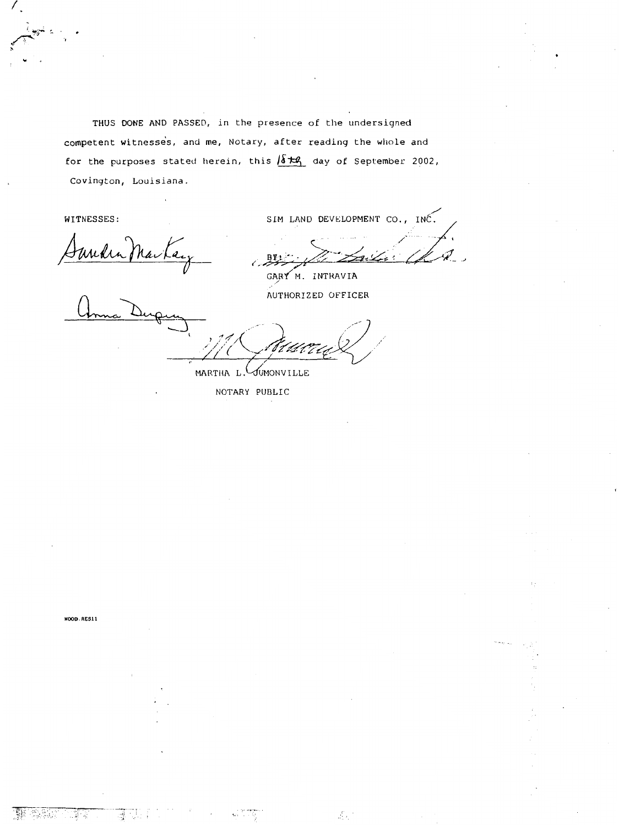THUS DONE **AND** PASSED, in the presence of the undersigned competent witnesses, and me, Notary, after reading the whole and for the purposes stated herein, this  $\sqrt{\delta t}$  day of September 2002, Covington, Louisiana.

WITNESSES:

SIM LAND DEVELOPMENT CO., INC.

GARY M. INTRAVIA

Æ,

AUTHORIZED OFFICER

MARTHA L. JUMONVILLE

NOTARY PUBLIC

WOOD RESI1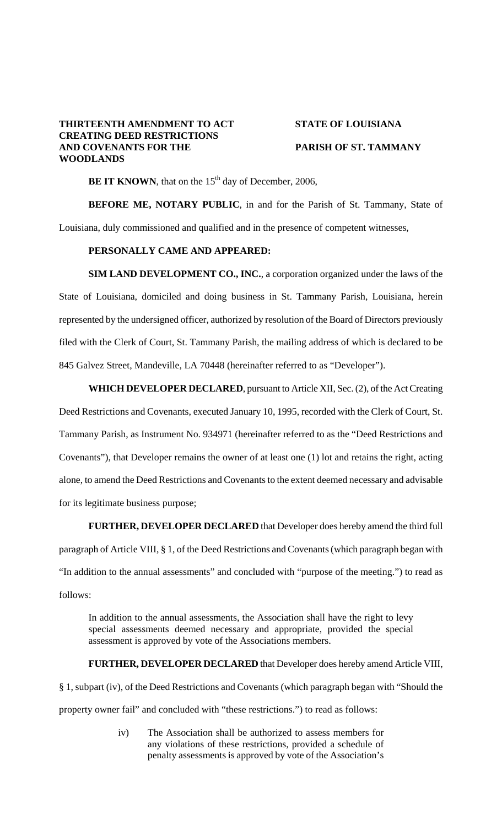# **THIRTEENTH AMENDMENT TO ACT STATE OF LOUISIANA CREATING DEED RESTRICTIONS AND COVENANTS FOR THE PARISH OF ST. TAMMANY WOODLANDS**

**BE IT KNOWN**, that on the  $15<sup>th</sup>$  day of December, 2006,

**BEFORE ME, NOTARY PUBLIC**, in and for the Parish of St. Tammany, State of Louisiana, duly commissioned and qualified and in the presence of competent witnesses,

## **PERSONALLY CAME AND APPEARED:**

**SIM LAND DEVELOPMENT CO., INC.**, a corporation organized under the laws of the State of Louisiana, domiciled and doing business in St. Tammany Parish, Louisiana, herein represented by the undersigned officer, authorized by resolution of the Board of Directors previously filed with the Clerk of Court, St. Tammany Parish, the mailing address of which is declared to be 845 Galvez Street, Mandeville, LA 70448 (hereinafter referred to as "Developer").

**WHICH DEVELOPER DECLARED**, pursuant to Article XII, Sec. (2), of the Act Creating

Deed Restrictions and Covenants, executed January 10, 1995, recorded with the Clerk of Court, St. Tammany Parish, as Instrument No. 934971 (hereinafter referred to as the "Deed Restrictions and Covenants"), that Developer remains the owner of at least one (1) lot and retains the right, acting alone, to amend the Deed Restrictions and Covenants to the extent deemed necessary and advisable for its legitimate business purpose;

**FURTHER, DEVELOPER DECLARED** that Developer does hereby amend the third full paragraph of Article VIII, § 1, of the Deed Restrictions and Covenants (which paragraph began with

"In addition to the annual assessments" and concluded with "purpose of the meeting.") to read as follows:

In addition to the annual assessments, the Association shall have the right to levy special assessments deemed necessary and appropriate, provided the special assessment is approved by vote of the Associations members.

 **FURTHER, DEVELOPER DECLARED** that Developer does hereby amend Article VIII,

§ 1, subpart (iv), of the Deed Restrictions and Covenants (which paragraph began with "Should the property owner fail" and concluded with "these restrictions.") to read as follows:

> iv) The Association shall be authorized to assess members for any violations of these restrictions, provided a schedule of penalty assessments is approved by vote of the Association's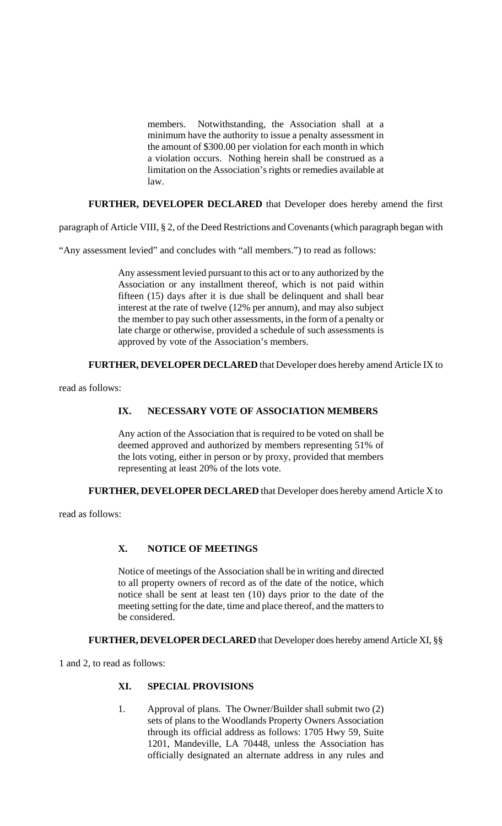members. Notwithstanding, the Association shall at a minimum have the authority to issue a penalty assessment in the amount of \$300.00 per violation for each month in which a violation occurs. Nothing herein shall be construed as a limitation on the Association's rights or remedies available at law.

**FURTHER, DEVELOPER DECLARED** that Developer does hereby amend the first

paragraph of Article VIII, § 2, of the Deed Restrictions and Covenants (which paragraph began with

"Any assessment levied" and concludes with "all members.") to read as follows:

Any assessment levied pursuant to this act or to any authorized by the Association or any installment thereof, which is not paid within fifteen (15) days after it is due shall be delinquent and shall bear interest at the rate of twelve (12% per annum), and may also subject the member to pay such other assessments, in the form of a penalty or late charge or otherwise, provided a schedule of such assessments is approved by vote of the Association's members.

 **FURTHER, DEVELOPER DECLARED** that Developer does hereby amend Article IX to

read as follows:

# **IX. NECESSARY VOTE OF ASSOCIATION MEMBERS**

Any action of the Association that is required to be voted on shall be deemed approved and authorized by members representing 51% of the lots voting, either in person or by proxy, provided that members representing at least 20% of the lots vote.

 **FURTHER, DEVELOPER DECLARED** that Developer does hereby amend Article X to

read as follows:

# **X. NOTICE OF MEETINGS**

Notice of meetings of the Association shall be in writing and directed to all property owners of record as of the date of the notice, which notice shall be sent at least ten (10) days prior to the date of the meeting setting for the date, time and place thereof, and the matters to be considered.

 **FURTHER, DEVELOPER DECLARED** that Developer does hereby amend Article XI, §§

1 and 2, to read as follows:

# **XI. SPECIAL PROVISIONS**

1. Approval of plans. The Owner/Builder shall submit two (2) sets of plans to the Woodlands Property Owners Association through its official address as follows: 1705 Hwy 59, Suite 1201, Mandeville, LA 70448, unless the Association has officially designated an alternate address in any rules and